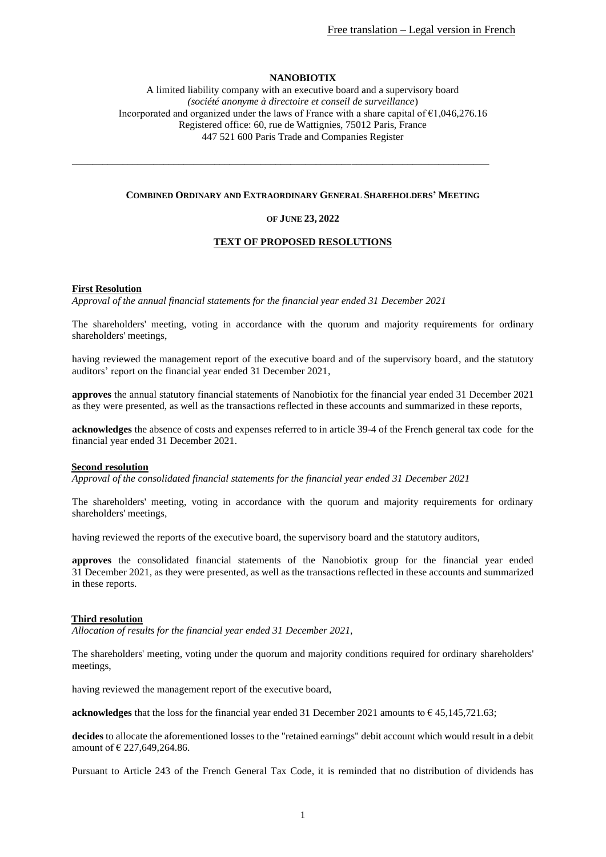## **NANOBIOTIX**

A limited liability company with an executive board and a supervisory board *(société anonyme à directoire et conseil de surveillance*) Incorporated and organized under the laws of France with a share capital of €1,046,276.16 Registered office: 60, rue de Wattignies, 75012 Paris, France 447 521 600 Paris Trade and Companies Register

#### **COMBINED ORDINARY AND EXTRAORDINARY GENERAL SHAREHOLDERS' MEETING**

\_\_\_\_\_\_\_\_\_\_\_\_\_\_\_\_\_\_\_\_\_\_\_\_\_\_\_\_\_\_\_\_\_\_\_\_\_\_\_\_\_\_\_\_\_\_\_\_\_\_\_\_\_\_\_\_\_\_\_\_\_\_\_\_\_\_\_\_\_\_\_\_\_\_\_\_\_\_\_\_\_\_

#### **OF JUNE 23, 2022**

#### **TEXT OF PROPOSED RESOLUTIONS**

#### **First Resolution**

*Approval of the annual financial statements for the financial year ended 31 December 2021*

The shareholders' meeting, voting in accordance with the quorum and majority requirements for ordinary shareholders' meetings,

having reviewed the management report of the executive board and of the supervisory board, and the statutory auditors' report on the financial year ended 31 December 2021,

**approves** the annual statutory financial statements of Nanobiotix for the financial year ended 31 December 2021 as they were presented, as well as the transactions reflected in these accounts and summarized in these reports,

**acknowledges** the absence of costs and expenses referred to in article 39-4 of the French general tax code for the financial year ended 31 December 2021.

#### **Second resolution**

*Approval of the consolidated financial statements for the financial year ended 31 December 2021*

The shareholders' meeting, voting in accordance with the quorum and majority requirements for ordinary shareholders' meetings,

having reviewed the reports of the executive board, the supervisory board and the statutory auditors,

**approves** the consolidated financial statements of the Nanobiotix group for the financial year ended 31 December 2021, as they were presented, as well as the transactions reflected in these accounts and summarized in these reports.

#### **Third resolution**

*Allocation of results for the financial year ended 31 December 2021,*

The shareholders' meeting, voting under the quorum and majority conditions required for ordinary shareholders' meetings,

having reviewed the management report of the executive board,

**acknowledges** that the loss for the financial year ended 31 December 2021 amounts to  $\epsilon$  45,145,721.63;

**decides** to allocate the aforementioned losses to the "retained earnings" debit account which would result in a debit amount of € 227,649,264.86.

Pursuant to Article 243 of the French General Tax Code, it is reminded that no distribution of dividends has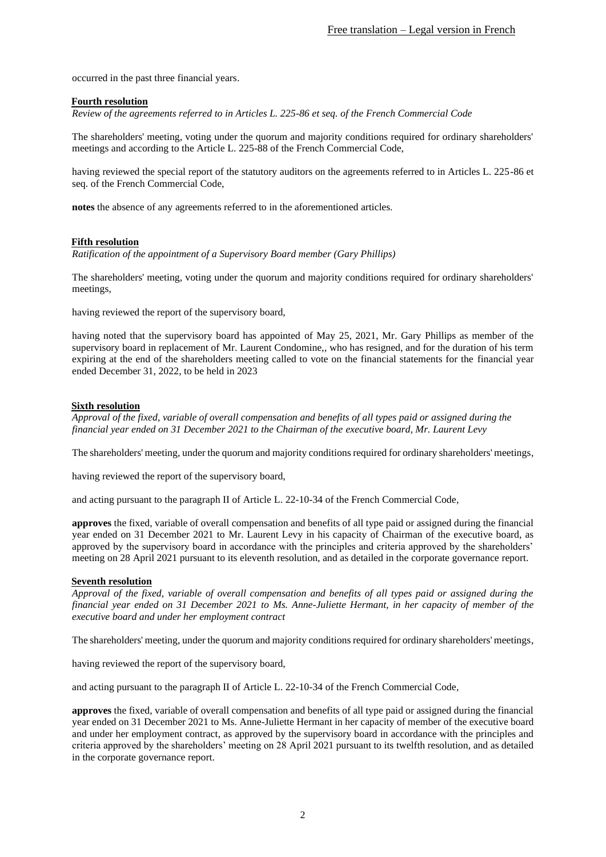occurred in the past three financial years.

### **Fourth resolution**

*Review of the agreements referred to in Articles L. 225-86 et seq. of the French Commercial Code*

The shareholders' meeting, voting under the quorum and majority conditions required for ordinary shareholders' meetings and according to the Article L. 225-88 of the French Commercial Code,

having reviewed the special report of the statutory auditors on the agreements referred to in Articles L. 225-86 et seq. of the French Commercial Code,

**notes** the absence of any agreements referred to in the aforementioned articles.

## **Fifth resolution**

*Ratification of the appointment of a Supervisory Board member (Gary Phillips)*

The shareholders' meeting, voting under the quorum and majority conditions required for ordinary shareholders' meetings,

having reviewed the report of the supervisory board,

having noted that the supervisory board has appointed of May 25, 2021, Mr. Gary Phillips as member of the supervisory board in replacement of Mr. Laurent Condomine,, who has resigned, and for the duration of his term expiring at the end of the shareholders meeting called to vote on the financial statements for the financial year ended December 31, 2022, to be held in 2023

# **Sixth resolution**

*Approval of the fixed, variable of overall compensation and benefits of all types paid or assigned during the financial year ended on 31 December 2021 to the Chairman of the executive board, Mr. Laurent Levy*

The shareholders' meeting, under the quorum and majority conditions required for ordinary shareholders' meetings,

having reviewed the report of the supervisory board,

and acting pursuant to the paragraph II of Article L. 22-10-34 of the French Commercial Code,

**approves** the fixed, variable of overall compensation and benefits of all type paid or assigned during the financial year ended on 31 December 2021 to Mr. Laurent Levy in his capacity of Chairman of the executive board, as approved by the supervisory board in accordance with the principles and criteria approved by the shareholders' meeting on 28 April 2021 pursuant to its eleventh resolution, and as detailed in the corporate governance report.

### **Seventh resolution**

*Approval of the fixed, variable of overall compensation and benefits of all types paid or assigned during the financial year ended on 31 December 2021 to Ms. Anne-Juliette Hermant, in her capacity of member of the executive board and under her employment contract*

The shareholders' meeting, under the quorum and majority conditions required for ordinary shareholders' meetings,

having reviewed the report of the supervisory board,

and acting pursuant to the paragraph II of Article L. 22-10-34 of the French Commercial Code,

**approves** the fixed, variable of overall compensation and benefits of all type paid or assigned during the financial year ended on 31 December 2021 to Ms. Anne-Juliette Hermant in her capacity of member of the executive board and under her employment contract, as approved by the supervisory board in accordance with the principles and criteria approved by the shareholders' meeting on 28 April 2021 pursuant to its twelfth resolution, and as detailed in the corporate governance report.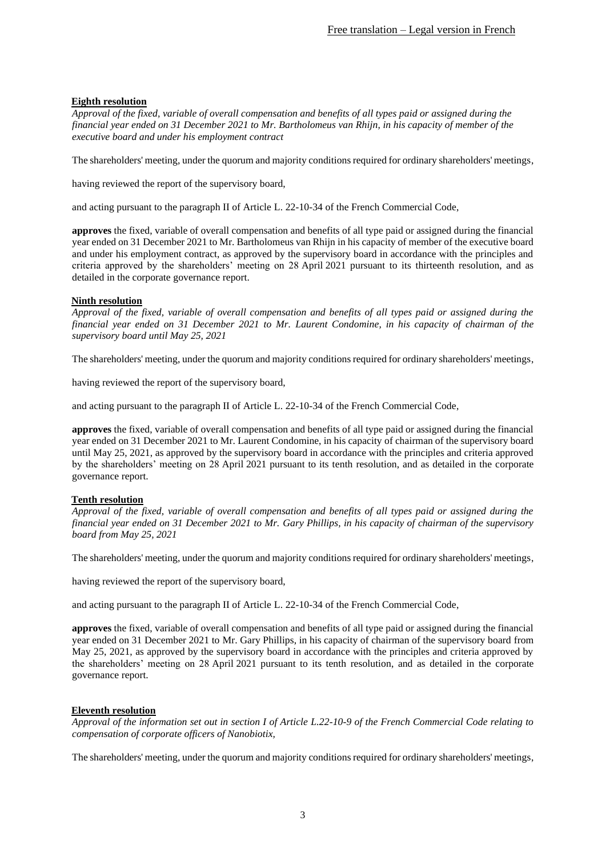# **Eighth resolution**

*Approval of the fixed, variable of overall compensation and benefits of all types paid or assigned during the financial year ended on 31 December 2021 to Mr. Bartholomeus van Rhijn, in his capacity of member of the executive board and under his employment contract*

The shareholders' meeting, under the quorum and majority conditions required for ordinary shareholders' meetings,

having reviewed the report of the supervisory board,

and acting pursuant to the paragraph II of Article L. 22-10-34 of the French Commercial Code,

**approves** the fixed, variable of overall compensation and benefits of all type paid or assigned during the financial year ended on 31 December 2021 to Mr. Bartholomeus van Rhijn in his capacity of member of the executive board and under his employment contract, as approved by the supervisory board in accordance with the principles and criteria approved by the shareholders' meeting on 28 April 2021 pursuant to its thirteenth resolution, and as detailed in the corporate governance report.

# **Ninth resolution**

*Approval of the fixed, variable of overall compensation and benefits of all types paid or assigned during the financial year ended on 31 December 2021 to Mr. Laurent Condomine, in his capacity of chairman of the supervisory board until May 25, 2021*

The shareholders' meeting, under the quorum and majority conditions required for ordinary shareholders' meetings,

having reviewed the report of the supervisory board,

and acting pursuant to the paragraph II of Article L. 22-10-34 of the French Commercial Code,

**approves** the fixed, variable of overall compensation and benefits of all type paid or assigned during the financial year ended on 31 December 2021 to Mr. Laurent Condomine, in his capacity of chairman of the supervisory board until May 25, 2021, as approved by the supervisory board in accordance with the principles and criteria approved by the shareholders' meeting on 28 April 2021 pursuant to its tenth resolution, and as detailed in the corporate governance report.

# **Tenth resolution**

*Approval of the fixed, variable of overall compensation and benefits of all types paid or assigned during the financial year ended on 31 December 2021 to Mr. Gary Phillips, in his capacity of chairman of the supervisory board from May 25, 2021*

The shareholders' meeting, under the quorum and majority conditions required for ordinary shareholders' meetings,

having reviewed the report of the supervisory board,

and acting pursuant to the paragraph II of Article L. 22-10-34 of the French Commercial Code,

**approves** the fixed, variable of overall compensation and benefits of all type paid or assigned during the financial year ended on 31 December 2021 to Mr. Gary Phillips, in his capacity of chairman of the supervisory board from May 25, 2021, as approved by the supervisory board in accordance with the principles and criteria approved by the shareholders' meeting on 28 April 2021 pursuant to its tenth resolution, and as detailed in the corporate governance report.

# **Eleventh resolution**

*Approval of the information set out in section I of Article L.22-10-9 of the French Commercial Code relating to compensation of corporate officers of Nanobiotix,*

The shareholders' meeting, under the quorum and majority conditions required for ordinary shareholders' meetings,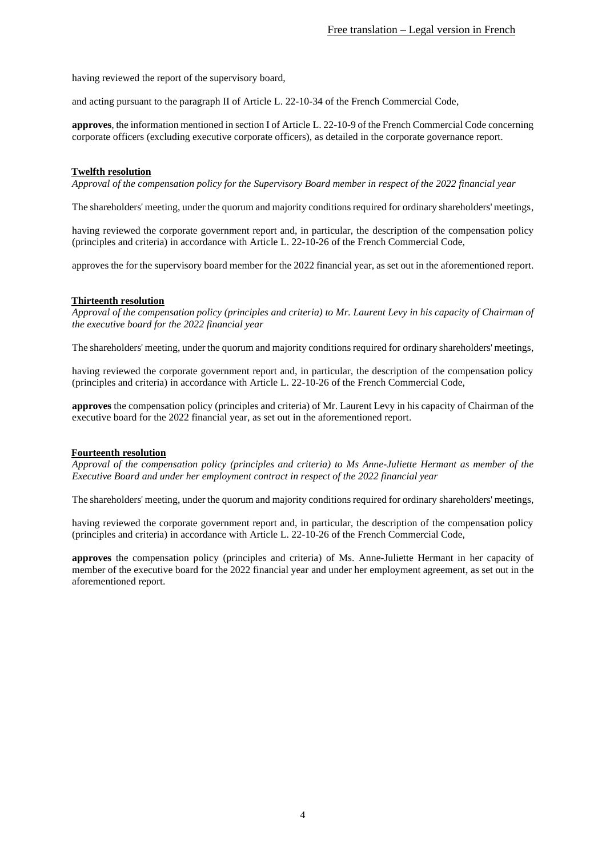having reviewed the report of the supervisory board,

and acting pursuant to the paragraph II of Article L. 22-10-34 of the French Commercial Code,

**approves**, the information mentioned in section I of Article L. 22-10-9 of the French Commercial Code concerning corporate officers (excluding executive corporate officers), as detailed in the corporate governance report.

## **Twelfth resolution**

*Approval of the compensation policy for the Supervisory Board member in respect of the 2022 financial year*

The shareholders' meeting, under the quorum and majority conditions required for ordinary shareholders' meetings,

having reviewed the corporate government report and, in particular, the description of the compensation policy (principles and criteria) in accordance with Article L. 22-10-26 of the French Commercial Code,

approves the for the supervisory board member for the 2022 financial year, as set out in the aforementioned report.

## **Thirteenth resolution**

*Approval of the compensation policy (principles and criteria) to Mr. Laurent Levy in his capacity of Chairman of the executive board for the 2022 financial year*

The shareholders' meeting, under the quorum and majority conditions required for ordinary shareholders' meetings,

having reviewed the corporate government report and, in particular, the description of the compensation policy (principles and criteria) in accordance with Article L. 22-10-26 of the French Commercial Code,

**approves** the compensation policy (principles and criteria) of Mr. Laurent Levy in his capacity of Chairman of the executive board for the 2022 financial year, as set out in the aforementioned report.

### **Fourteenth resolution**

*Approval of the compensation policy (principles and criteria) to Ms Anne-Juliette Hermant as member of the Executive Board and under her employment contract in respect of the 2022 financial year* 

The shareholders' meeting, under the quorum and majority conditions required for ordinary shareholders' meetings,

having reviewed the corporate government report and, in particular, the description of the compensation policy (principles and criteria) in accordance with Article L. 22-10-26 of the French Commercial Code,

**approves** the compensation policy (principles and criteria) of Ms. Anne-Juliette Hermant in her capacity of member of the executive board for the 2022 financial year and under her employment agreement, as set out in the aforementioned report.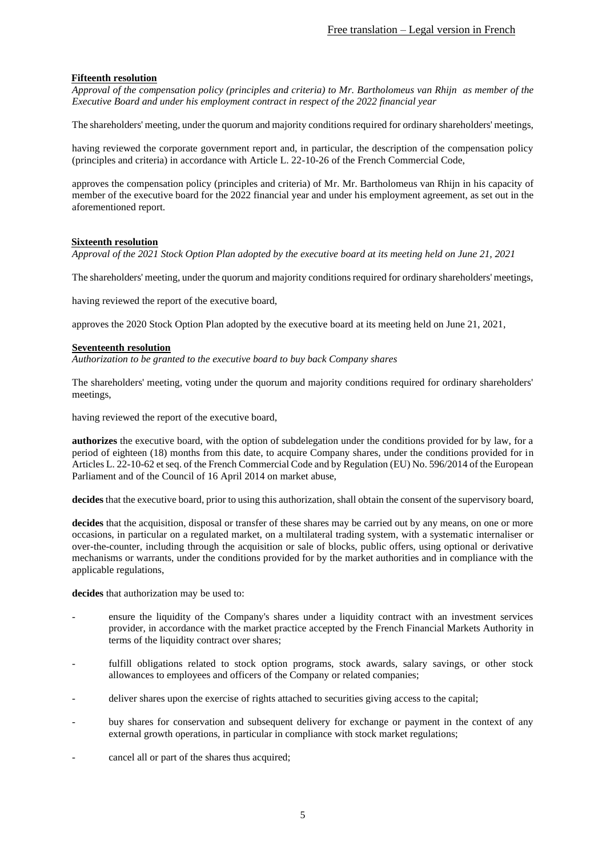## **Fifteenth resolution**

*Approval of the compensation policy (principles and criteria) to Mr. Bartholomeus van Rhijn as member of the Executive Board and under his employment contract in respect of the 2022 financial year* 

The shareholders' meeting, under the quorum and majority conditions required for ordinary shareholders' meetings,

having reviewed the corporate government report and, in particular, the description of the compensation policy (principles and criteria) in accordance with Article L. 22-10-26 of the French Commercial Code,

approves the compensation policy (principles and criteria) of Mr. Mr. Bartholomeus van Rhijn in his capacity of member of the executive board for the 2022 financial year and under his employment agreement, as set out in the aforementioned report.

### **Sixteenth resolution**

*Approval of the 2021 Stock Option Plan adopted by the executive board at its meeting held on June 21, 2021*

The shareholders' meeting, under the quorum and majority conditions required for ordinary shareholders' meetings,

having reviewed the report of the executive board,

approves the 2020 Stock Option Plan adopted by the executive board at its meeting held on June 21, 2021,

### <span id="page-4-0"></span>**Seventeenth resolution**

*Authorization to be granted to the executive board to buy back Company shares*

The shareholders' meeting, voting under the quorum and majority conditions required for ordinary shareholders' meetings,

having reviewed the report of the executive board,

**authorizes** the executive board, with the option of subdelegation under the conditions provided for by law, for a period of eighteen (18) months from this date, to acquire Company shares, under the conditions provided for in Articles L. 22-10-62 et seq. of the French Commercial Code and by Regulation (EU) No. 596/2014 of the European Parliament and of the Council of 16 April 2014 on market abuse,

**decides** that the executive board, prior to using this authorization, shall obtain the consent of the supervisory board,

**decides** that the acquisition, disposal or transfer of these shares may be carried out by any means, on one or more occasions, in particular on a regulated market, on a multilateral trading system, with a systematic internaliser or over-the-counter, including through the acquisition or sale of blocks, public offers, using optional or derivative mechanisms or warrants, under the conditions provided for by the market authorities and in compliance with the applicable regulations,

**decides** that authorization may be used to:

- ensure the liquidity of the Company's shares under a liquidity contract with an investment services provider, in accordance with the market practice accepted by the French Financial Markets Authority in terms of the liquidity contract over shares;
- fulfill obligations related to stock option programs, stock awards, salary savings, or other stock allowances to employees and officers of the Company or related companies;
- deliver shares upon the exercise of rights attached to securities giving access to the capital;
- buy shares for conservation and subsequent delivery for exchange or payment in the context of any external growth operations, in particular in compliance with stock market regulations;
- cancel all or part of the shares thus acquired;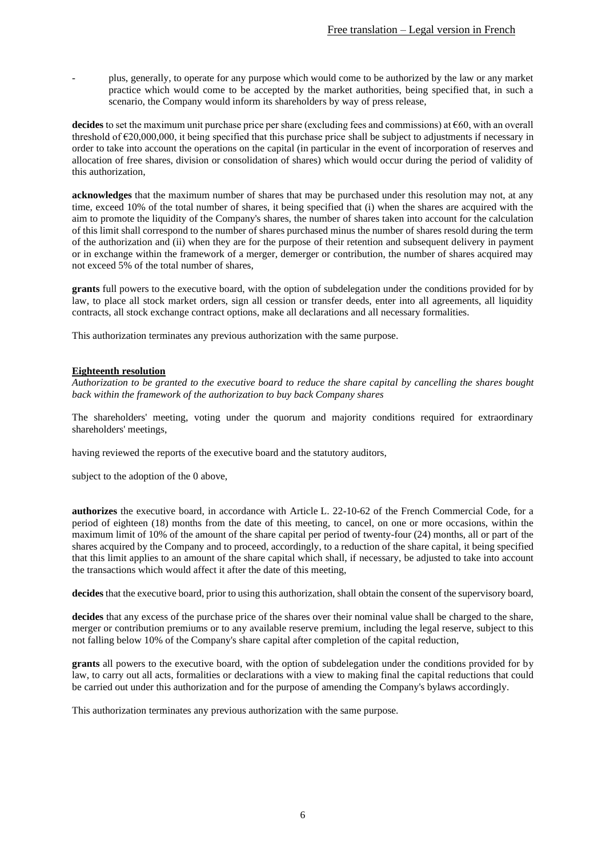- plus, generally, to operate for any purpose which would come to be authorized by the law or any market practice which would come to be accepted by the market authorities, being specified that, in such a scenario, the Company would inform its shareholders by way of press release,

**decides** to set the maximum unit purchase price per share (excluding fees and commissions) at €60, with an overall threshold of €20,000,000, it being specified that this purchase price shall be subject to adjustments if necessary in order to take into account the operations on the capital (in particular in the event of incorporation of reserves and allocation of free shares, division or consolidation of shares) which would occur during the period of validity of this authorization,

**acknowledges** that the maximum number of shares that may be purchased under this resolution may not, at any time, exceed 10% of the total number of shares, it being specified that (i) when the shares are acquired with the aim to promote the liquidity of the Company's shares, the number of shares taken into account for the calculation of this limit shall correspond to the number of shares purchased minus the number of shares resold during the term of the authorization and (ii) when they are for the purpose of their retention and subsequent delivery in payment or in exchange within the framework of a merger, demerger or contribution, the number of shares acquired may not exceed 5% of the total number of shares,

**grants** full powers to the executive board, with the option of subdelegation under the conditions provided for by law, to place all stock market orders, sign all cession or transfer deeds, enter into all agreements, all liquidity contracts, all stock exchange contract options, make all declarations and all necessary formalities.

This authorization terminates any previous authorization with the same purpose.

### **Eighteenth resolution**

*Authorization to be granted to the executive board to reduce the share capital by cancelling the shares bought back within the framework of the authorization to buy back Company shares*

The shareholders' meeting, voting under the quorum and majority conditions required for extraordinary shareholders' meetings,

having reviewed the reports of the executive board and the statutory auditors,

subject to the adoption of th[e 0](#page-4-0) above,

**authorizes** the executive board, in accordance with Article L. 22-10-62 of the French Commercial Code, for a period of eighteen (18) months from the date of this meeting, to cancel, on one or more occasions, within the maximum limit of 10% of the amount of the share capital per period of twenty-four (24) months, all or part of the shares acquired by the Company and to proceed, accordingly, to a reduction of the share capital, it being specified that this limit applies to an amount of the share capital which shall, if necessary, be adjusted to take into account the transactions which would affect it after the date of this meeting,

**decides** that the executive board, prior to using this authorization, shall obtain the consent of the supervisory board,

**decides** that any excess of the purchase price of the shares over their nominal value shall be charged to the share, merger or contribution premiums or to any available reserve premium, including the legal reserve, subject to this not falling below 10% of the Company's share capital after completion of the capital reduction,

**grants** all powers to the executive board, with the option of subdelegation under the conditions provided for by law, to carry out all acts, formalities or declarations with a view to making final the capital reductions that could be carried out under this authorization and for the purpose of amending the Company's bylaws accordingly.

This authorization terminates any previous authorization with the same purpose.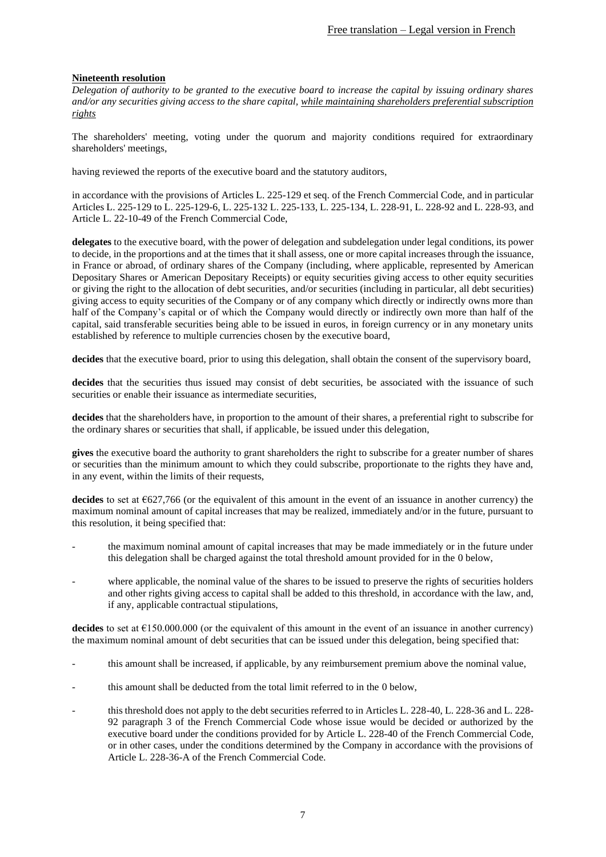# <span id="page-6-0"></span>**Nineteenth resolution**

*Delegation of authority to be granted to the executive board to increase the capital by issuing ordinary shares and/or any securities giving access to the share capital, while maintaining shareholders preferential subscription rights*

The shareholders' meeting, voting under the quorum and majority conditions required for extraordinary shareholders' meetings,

having reviewed the reports of the executive board and the statutory auditors,

in accordance with the provisions of Articles L. 225-129 et seq. of the French Commercial Code, and in particular Articles L. 225-129 to L. 225-129-6, L. 225-132 L. 225-133, L. 225-134, L. 228-91, L. 228-92 and L. 228-93, and Article L. 22-10-49 of the French Commercial Code,

**delegates** to the executive board, with the power of delegation and subdelegation under legal conditions, its power to decide, in the proportions and at the times that it shall assess, one or more capital increases through the issuance, in France or abroad, of ordinary shares of the Company (including, where applicable, represented by American Depositary Shares or American Depositary Receipts) or equity securities giving access to other equity securities or giving the right to the allocation of debt securities, and/or securities (including in particular, all debt securities) giving access to equity securities of the Company or of any company which directly or indirectly owns more than half of the Company's capital or of which the Company would directly or indirectly own more than half of the capital, said transferable securities being able to be issued in euros, in foreign currency or in any monetary units established by reference to multiple currencies chosen by the executive board,

**decides** that the executive board, prior to using this delegation, shall obtain the consent of the supervisory board,

decides that the securities thus issued may consist of debt securities, be associated with the issuance of such securities or enable their issuance as intermediate securities,

**decides** that the shareholders have, in proportion to the amount of their shares, a preferential right to subscribe for the ordinary shares or securities that shall, if applicable, be issued under this delegation,

**gives** the executive board the authority to grant shareholders the right to subscribe for a greater number of shares or securities than the minimum amount to which they could subscribe, proportionate to the rights they have and, in any event, within the limits of their requests,

**decides** to set at  $627,766$  (or the equivalent of this amount in the event of an issuance in another currency) the maximum nominal amount of capital increases that may be realized, immediately and/or in the future, pursuant to this resolution, it being specified that:

- the maximum nominal amount of capital increases that may be made immediately or in the future under this delegation shall be charged against the total threshold amount provided for in the [0](#page-25-0) below,
- where applicable, the nominal value of the shares to be issued to preserve the rights of securities holders and other rights giving access to capital shall be added to this threshold, in accordance with the law, and, if any, applicable contractual stipulations,

**decides** to set at  $\epsilon$ 150.000.000 (or the equivalent of this amount in the event of an issuance in another currency) the maximum nominal amount of debt securities that can be issued under this delegation, being specified that:

- this amount shall be increased, if applicable, by any reimbursement premium above the nominal value,
- this amount shall be deducted from the total limit referred to in the [0](#page-25-0) below,
- this threshold does not apply to the debt securities referred to in Articles L. 228-40, L. 228-36 and L. 228-92 paragraph 3 of the French Commercial Code whose issue would be decided or authorized by the executive board under the conditions provided for by Article L. 228-40 of the French Commercial Code, or in other cases, under the conditions determined by the Company in accordance with the provisions of Article L. 228-36-A of the French Commercial Code.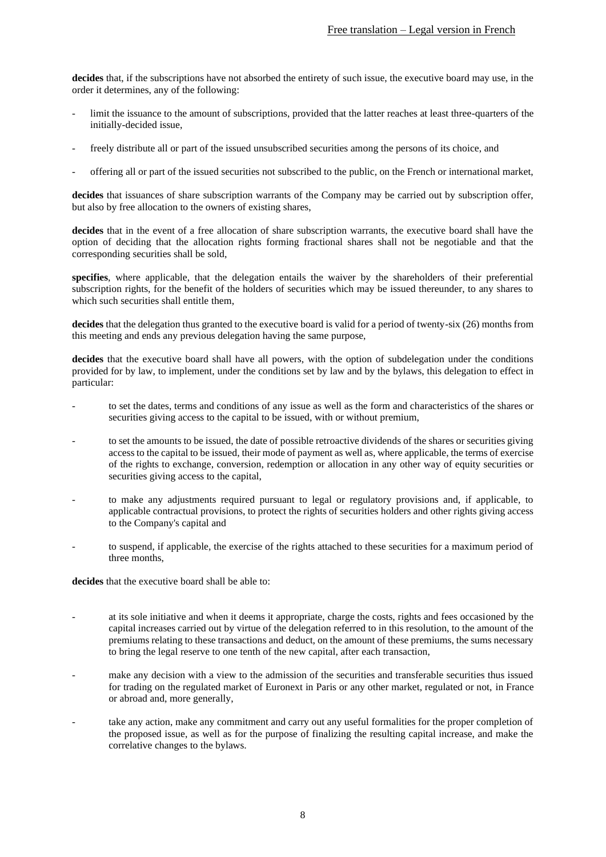**decides** that, if the subscriptions have not absorbed the entirety of such issue, the executive board may use, in the order it determines, any of the following:

- limit the issuance to the amount of subscriptions, provided that the latter reaches at least three-quarters of the initially-decided issue,
- freely distribute all or part of the issued unsubscribed securities among the persons of its choice, and
- offering all or part of the issued securities not subscribed to the public, on the French or international market,

**decides** that issuances of share subscription warrants of the Company may be carried out by subscription offer, but also by free allocation to the owners of existing shares,

**decides** that in the event of a free allocation of share subscription warrants, the executive board shall have the option of deciding that the allocation rights forming fractional shares shall not be negotiable and that the corresponding securities shall be sold,

**specifies**, where applicable, that the delegation entails the waiver by the shareholders of their preferential subscription rights, for the benefit of the holders of securities which may be issued thereunder, to any shares to which such securities shall entitle them.

**decides** that the delegation thus granted to the executive board is valid for a period of twenty-six (26) months from this meeting and ends any previous delegation having the same purpose,

**decides** that the executive board shall have all powers, with the option of subdelegation under the conditions provided for by law, to implement, under the conditions set by law and by the bylaws, this delegation to effect in particular:

- to set the dates, terms and conditions of any issue as well as the form and characteristics of the shares or securities giving access to the capital to be issued, with or without premium,
- to set the amounts to be issued, the date of possible retroactive dividends of the shares or securities giving access to the capital to be issued, their mode of payment as well as, where applicable, the terms of exercise of the rights to exchange, conversion, redemption or allocation in any other way of equity securities or securities giving access to the capital,
- to make any adjustments required pursuant to legal or regulatory provisions and, if applicable, to applicable contractual provisions, to protect the rights of securities holders and other rights giving access to the Company's capital and
- to suspend, if applicable, the exercise of the rights attached to these securities for a maximum period of three months,

**decides** that the executive board shall be able to:

- at its sole initiative and when it deems it appropriate, charge the costs, rights and fees occasioned by the capital increases carried out by virtue of the delegation referred to in this resolution, to the amount of the premiums relating to these transactions and deduct, on the amount of these premiums, the sums necessary to bring the legal reserve to one tenth of the new capital, after each transaction,
- make any decision with a view to the admission of the securities and transferable securities thus issued for trading on the regulated market of Euronext in Paris or any other market, regulated or not, in France or abroad and, more generally,
- take any action, make any commitment and carry out any useful formalities for the proper completion of the proposed issue, as well as for the purpose of finalizing the resulting capital increase, and make the correlative changes to the bylaws.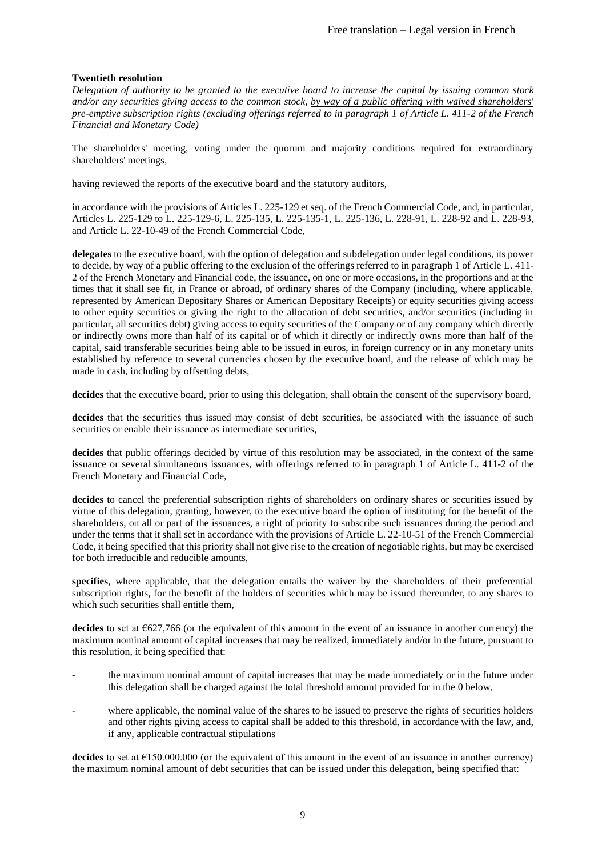# <span id="page-8-0"></span>**Twentieth resolution**

*Delegation of authority to be granted to the executive board to increase the capital by issuing common stock and/or any securities giving access to the common stock, by way of a public offering with waived shareholders' pre-emptive subscription rights (excluding offerings referred to in paragraph 1 of Article L. 411-2 of the French Financial and Monetary Code)*

The shareholders' meeting, voting under the quorum and majority conditions required for extraordinary shareholders' meetings,

having reviewed the reports of the executive board and the statutory auditors,

in accordance with the provisions of Articles L. 225-129 et seq. of the French Commercial Code, and, in particular, Articles L. 225-129 to L. 225-129-6, L. 225-135, L. 225-135-1, L. 225-136, L. 228-91, L. 228-92 and L. 228-93, and Article L. 22-10-49 of the French Commercial Code,

**delegates** to the executive board, with the option of delegation and subdelegation under legal conditions, its power to decide, by way of a public offering to the exclusion of the offerings referred to in paragraph 1 of Article L. 411- 2 of the French Monetary and Financial code, the issuance, on one or more occasions, in the proportions and at the times that it shall see fit, in France or abroad, of ordinary shares of the Company (including, where applicable, represented by American Depositary Shares or American Depositary Receipts) or equity securities giving access to other equity securities or giving the right to the allocation of debt securities, and/or securities (including in particular, all securities debt) giving access to equity securities of the Company or of any company which directly or indirectly owns more than half of its capital or of which it directly or indirectly owns more than half of the capital, said transferable securities being able to be issued in euros, in foreign currency or in any monetary units established by reference to several currencies chosen by the executive board, and the release of which may be made in cash, including by offsetting debts,

**decides** that the executive board, prior to using this delegation, shall obtain the consent of the supervisory board,

decides that the securities thus issued may consist of debt securities, be associated with the issuance of such securities or enable their issuance as intermediate securities,

**decides** that public offerings decided by virtue of this resolution may be associated, in the context of the same issuance or several simultaneous issuances, with offerings referred to in paragraph 1 of Article L. 411-2 of the French Monetary and Financial Code,

**decides** to cancel the preferential subscription rights of shareholders on ordinary shares or securities issued by virtue of this delegation, granting, however, to the executive board the option of instituting for the benefit of the shareholders, on all or part of the issuances, a right of priority to subscribe such issuances during the period and under the terms that it shall set in accordance with the provisions of Article L. 22-10-51 of the French Commercial Code, it being specified that this priority shall not give rise to the creation of negotiable rights, but may be exercised for both irreducible and reducible amounts,

**specifies**, where applicable, that the delegation entails the waiver by the shareholders of their preferential subscription rights, for the benefit of the holders of securities which may be issued thereunder, to any shares to which such securities shall entitle them,

decides to set at €627,766 (or the equivalent of this amount in the event of an issuance in another currency) the maximum nominal amount of capital increases that may be realized, immediately and/or in the future, pursuant to this resolution, it being specified that:

- the maximum nominal amount of capital increases that may be made immediately or in the future under this delegation shall be charged against the total threshold amount provided for in the [0](#page-25-0) below,
- where applicable, the nominal value of the shares to be issued to preserve the rights of securities holders and other rights giving access to capital shall be added to this threshold, in accordance with the law, and, if any, applicable contractual stipulations

**decides** to set at  $\epsilon$ 150.000.000 (or the equivalent of this amount in the event of an issuance in another currency) the maximum nominal amount of debt securities that can be issued under this delegation, being specified that: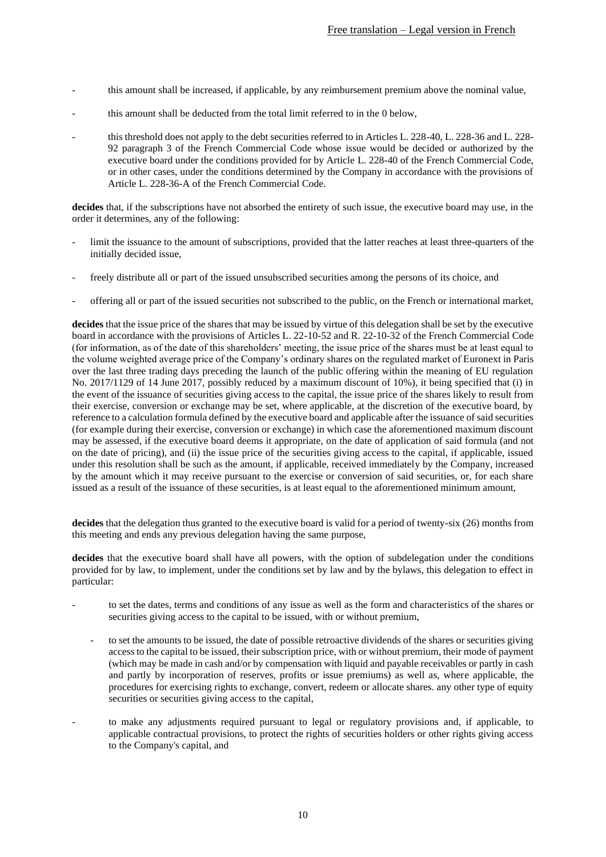- this amount shall be increased, if applicable, by any reimbursement premium above the nominal value,
- this amount shall be deducted from the total limit referred to in the [0](#page-25-0) below,
- this threshold does not apply to the debt securities referred to in Articles L. 228-40, L. 228-36 and L. 228- 92 paragraph 3 of the French Commercial Code whose issue would be decided or authorized by the executive board under the conditions provided for by Article L. 228-40 of the French Commercial Code, or in other cases, under the conditions determined by the Company in accordance with the provisions of Article L. 228-36-A of the French Commercial Code.

**decides** that, if the subscriptions have not absorbed the entirety of such issue, the executive board may use, in the order it determines, any of the following:

- limit the issuance to the amount of subscriptions, provided that the latter reaches at least three-quarters of the initially decided issue,
- freely distribute all or part of the issued unsubscribed securities among the persons of its choice, and
- offering all or part of the issued securities not subscribed to the public, on the French or international market,

**decides** that the issue price of the shares that may be issued by virtue of this delegation shall be set by the executive board in accordance with the provisions of Articles L. 22-10-52 and R. 22-10-32 of the French Commercial Code (for information, as of the date of this shareholders' meeting, the issue price of the shares must be at least equal to the volume weighted average price of the Company's ordinary shares on the regulated market of Euronext in Paris over the last three trading days preceding the launch of the public offering within the meaning of EU regulation No. 2017/1129 of 14 June 2017, possibly reduced by a maximum discount of 10%), it being specified that (i) in the event of the issuance of securities giving access to the capital, the issue price of the shares likely to result from their exercise, conversion or exchange may be set, where applicable, at the discretion of the executive board, by reference to a calculation formula defined by the executive board and applicable after the issuance of said securities (for example during their exercise, conversion or exchange) in which case the aforementioned maximum discount may be assessed, if the executive board deems it appropriate, on the date of application of said formula (and not on the date of pricing), and (ii) the issue price of the securities giving access to the capital, if applicable, issued under this resolution shall be such as the amount, if applicable, received immediately by the Company, increased by the amount which it may receive pursuant to the exercise or conversion of said securities, or, for each share issued as a result of the issuance of these securities, is at least equal to the aforementioned minimum amount,

**decides** that the delegation thus granted to the executive board is valid for a period of twenty-six (26) months from this meeting and ends any previous delegation having the same purpose,

**decides** that the executive board shall have all powers, with the option of subdelegation under the conditions provided for by law, to implement, under the conditions set by law and by the bylaws, this delegation to effect in particular:

- to set the dates, terms and conditions of any issue as well as the form and characteristics of the shares or securities giving access to the capital to be issued, with or without premium,
	- to set the amounts to be issued, the date of possible retroactive dividends of the shares or securities giving access to the capital to be issued, their subscription price, with or without premium, their mode of payment (which may be made in cash and/or by compensation with liquid and payable receivables or partly in cash and partly by incorporation of reserves, profits or issue premiums) as well as, where applicable, the procedures for exercising rights to exchange, convert, redeem or allocate shares. any other type of equity securities or securities giving access to the capital,
- to make any adjustments required pursuant to legal or regulatory provisions and, if applicable, to applicable contractual provisions, to protect the rights of securities holders or other rights giving access to the Company's capital, and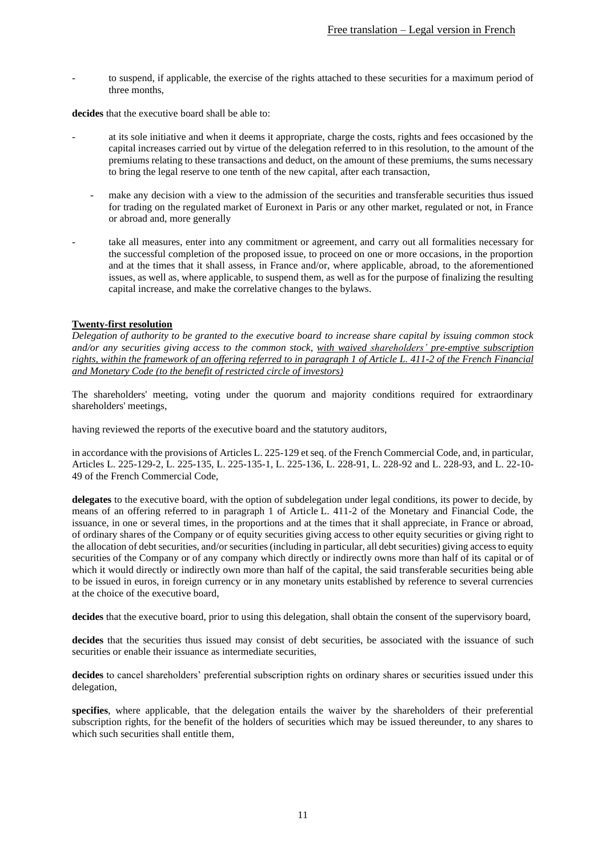to suspend, if applicable, the exercise of the rights attached to these securities for a maximum period of three months,

**decides** that the executive board shall be able to:

- at its sole initiative and when it deems it appropriate, charge the costs, rights and fees occasioned by the capital increases carried out by virtue of the delegation referred to in this resolution, to the amount of the premiums relating to these transactions and deduct, on the amount of these premiums, the sums necessary to bring the legal reserve to one tenth of the new capital, after each transaction,
	- make any decision with a view to the admission of the securities and transferable securities thus issued for trading on the regulated market of Euronext in Paris or any other market, regulated or not, in France or abroad and, more generally
- take all measures, enter into any commitment or agreement, and carry out all formalities necessary for the successful completion of the proposed issue, to proceed on one or more occasions, in the proportion and at the times that it shall assess, in France and/or, where applicable, abroad, to the aforementioned issues, as well as, where applicable, to suspend them, as well as for the purpose of finalizing the resulting capital increase, and make the correlative changes to the bylaws.

### <span id="page-10-0"></span>**Twenty-first resolution**

*Delegation of authority to be granted to the executive board to increase share capital by issuing common stock and/or any securities giving access to the common stock, with waived shareholders' pre-emptive subscription rights, within the framework of an offering referred to in paragraph 1 of Article L. 411-2 of the French Financial and Monetary Code (to the benefit of restricted circle of investors)*

The shareholders' meeting, voting under the quorum and majority conditions required for extraordinary shareholders' meetings,

having reviewed the reports of the executive board and the statutory auditors,

in accordance with the provisions of Articles L. 225-129 et seq. of the French Commercial Code, and, in particular, Articles L. 225-129-2, L. 225-135, L. 225-135-1, L. 225-136, L. 228-91, L. 228-92 and L. 228-93, and L. 22-10- 49 of the French Commercial Code,

**delegates** to the executive board, with the option of subdelegation under legal conditions, its power to decide, by means of an offering referred to in paragraph 1 of Article L. 411-2 of the Monetary and Financial Code, the issuance, in one or several times, in the proportions and at the times that it shall appreciate, in France or abroad, of ordinary shares of the Company or of equity securities giving access to other equity securities or giving right to the allocation of debt securities, and/or securities (including in particular, all debt securities) giving access to equity securities of the Company or of any company which directly or indirectly owns more than half of its capital or of which it would directly or indirectly own more than half of the capital, the said transferable securities being able to be issued in euros, in foreign currency or in any monetary units established by reference to several currencies at the choice of the executive board,

**decides** that the executive board, prior to using this delegation, shall obtain the consent of the supervisory board,

decides that the securities thus issued may consist of debt securities, be associated with the issuance of such securities or enable their issuance as intermediate securities,

**decides** to cancel shareholders' preferential subscription rights on ordinary shares or securities issued under this delegation,

**specifies**, where applicable, that the delegation entails the waiver by the shareholders of their preferential subscription rights, for the benefit of the holders of securities which may be issued thereunder, to any shares to which such securities shall entitle them,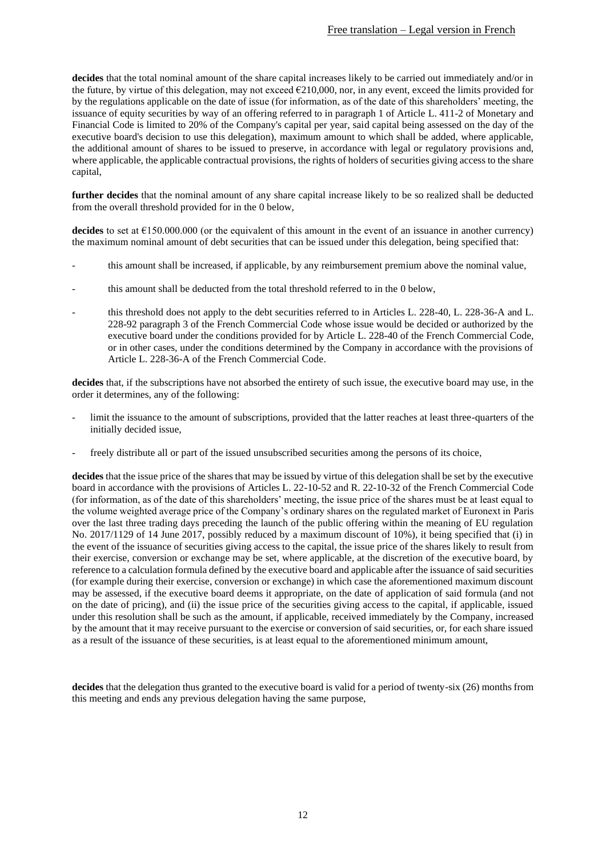**decides** that the total nominal amount of the share capital increases likely to be carried out immediately and/or in the future, by virtue of this delegation, may not exceed  $\epsilon$ 210,000, nor, in any event, exceed the limits provided for by the regulations applicable on the date of issue (for information, as of the date of this shareholders' meeting, the issuance of equity securities by way of an offering referred to in paragraph 1 of Article L. 411-2 of Monetary and Financial Code is limited to 20% of the Company's capital per year, said capital being assessed on the day of the executive board's decision to use this delegation), maximum amount to which shall be added, where applicable, the additional amount of shares to be issued to preserve, in accordance with legal or regulatory provisions and, where applicable, the applicable contractual provisions, the rights of holders of securities giving access to the share capital,

**further decides** that the nominal amount of any share capital increase likely to be so realized shall be deducted from the overall threshold provided for in the [0](#page-25-0) below,

**decides** to set at  $\epsilon$ 150.000.000 (or the equivalent of this amount in the event of an issuance in another currency) the maximum nominal amount of debt securities that can be issued under this delegation, being specified that:

- this amount shall be increased, if applicable, by any reimbursement premium above the nominal value,
- this amount shall be deducted from the total threshold referred to in the [0](#page-25-0) below,
- this threshold does not apply to the debt securities referred to in Articles L. 228-40, L. 228-36-A and L. 228-92 paragraph 3 of the French Commercial Code whose issue would be decided or authorized by the executive board under the conditions provided for by Article L. 228-40 of the French Commercial Code, or in other cases, under the conditions determined by the Company in accordance with the provisions of Article L. 228-36-A of the French Commercial Code.

**decides** that, if the subscriptions have not absorbed the entirety of such issue, the executive board may use, in the order it determines, any of the following:

- limit the issuance to the amount of subscriptions, provided that the latter reaches at least three-quarters of the initially decided issue,
- freely distribute all or part of the issued unsubscribed securities among the persons of its choice,

**decides** that the issue price of the shares that may be issued by virtue of this delegation shall be set by the executive board in accordance with the provisions of Articles L. 22-10-52 and R. 22-10-32 of the French Commercial Code (for information, as of the date of this shareholders' meeting, the issue price of the shares must be at least equal to the volume weighted average price of the Company's ordinary shares on the regulated market of Euronext in Paris over the last three trading days preceding the launch of the public offering within the meaning of EU regulation No. 2017/1129 of 14 June 2017, possibly reduced by a maximum discount of 10%), it being specified that (i) in the event of the issuance of securities giving access to the capital, the issue price of the shares likely to result from their exercise, conversion or exchange may be set, where applicable, at the discretion of the executive board, by reference to a calculation formula defined by the executive board and applicable after the issuance of said securities (for example during their exercise, conversion or exchange) in which case the aforementioned maximum discount may be assessed, if the executive board deems it appropriate, on the date of application of said formula (and not on the date of pricing), and (ii) the issue price of the securities giving access to the capital, if applicable, issued under this resolution shall be such as the amount, if applicable, received immediately by the Company, increased by the amount that it may receive pursuant to the exercise or conversion of said securities, or, for each share issued as a result of the issuance of these securities, is at least equal to the aforementioned minimum amount,

**decides** that the delegation thus granted to the executive board is valid for a period of twenty-six (26) months from this meeting and ends any previous delegation having the same purpose,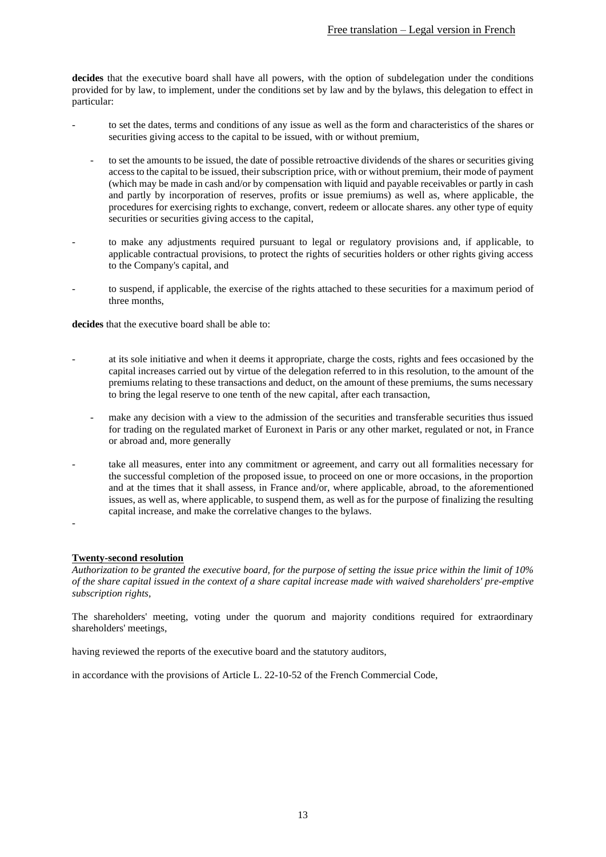**decides** that the executive board shall have all powers, with the option of subdelegation under the conditions provided for by law, to implement, under the conditions set by law and by the bylaws, this delegation to effect in particular:

- to set the dates, terms and conditions of any issue as well as the form and characteristics of the shares or securities giving access to the capital to be issued, with or without premium,
	- to set the amounts to be issued, the date of possible retroactive dividends of the shares or securities giving access to the capital to be issued, their subscription price, with or without premium, their mode of payment (which may be made in cash and/or by compensation with liquid and payable receivables or partly in cash and partly by incorporation of reserves, profits or issue premiums) as well as, where applicable, the procedures for exercising rights to exchange, convert, redeem or allocate shares. any other type of equity securities or securities giving access to the capital,
- to make any adjustments required pursuant to legal or regulatory provisions and, if applicable, to applicable contractual provisions, to protect the rights of securities holders or other rights giving access to the Company's capital, and
- to suspend, if applicable, the exercise of the rights attached to these securities for a maximum period of three months,

**decides** that the executive board shall be able to:

- at its sole initiative and when it deems it appropriate, charge the costs, rights and fees occasioned by the capital increases carried out by virtue of the delegation referred to in this resolution, to the amount of the premiums relating to these transactions and deduct, on the amount of these premiums, the sums necessary to bring the legal reserve to one tenth of the new capital, after each transaction,
	- make any decision with a view to the admission of the securities and transferable securities thus issued for trading on the regulated market of Euronext in Paris or any other market, regulated or not, in France or abroad and, more generally
- take all measures, enter into any commitment or agreement, and carry out all formalities necessary for the successful completion of the proposed issue, to proceed on one or more occasions, in the proportion and at the times that it shall assess, in France and/or, where applicable, abroad, to the aforementioned issues, as well as, where applicable, to suspend them, as well as for the purpose of finalizing the resulting capital increase, and make the correlative changes to the bylaws.

## **Twenty-second resolution**

-

*Authorization to be granted the executive board, for the purpose of setting the issue price within the limit of 10% of the share capital issued in the context of a share capital increase made with waived shareholders' pre-emptive subscription rights,* 

The shareholders' meeting, voting under the quorum and majority conditions required for extraordinary shareholders' meetings,

having reviewed the reports of the executive board and the statutory auditors,

in accordance with the provisions of Article L. 22-10-52 of the French Commercial Code,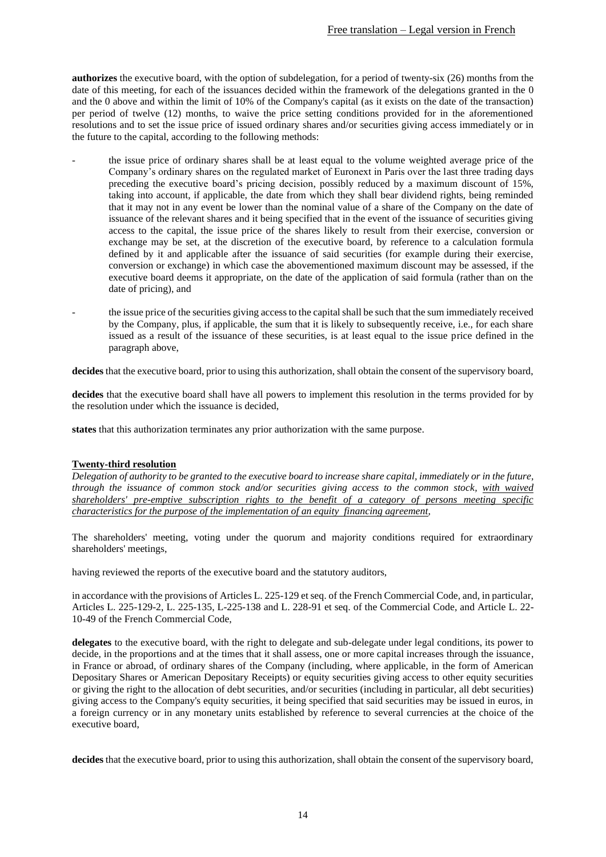**authorizes** the executive board, with the option of subdelegation, for a period of twenty-six (26) months from the date of this meeting, for each of the issuances decided within the framework of the delegations granted in the [0](#page-8-0) and the [0](#page-10-0) above and within the limit of 10% of the Company's capital (as it exists on the date of the transaction) per period of twelve (12) months, to waive the price setting conditions provided for in the aforementioned resolutions and to set the issue price of issued ordinary shares and/or securities giving access immediately or in the future to the capital, according to the following methods:

- the issue price of ordinary shares shall be at least equal to the volume weighted average price of the Company's ordinary shares on the regulated market of Euronext in Paris over the last three trading days preceding the executive board's pricing decision, possibly reduced by a maximum discount of 15%, taking into account, if applicable, the date from which they shall bear dividend rights, being reminded that it may not in any event be lower than the nominal value of a share of the Company on the date of issuance of the relevant shares and it being specified that in the event of the issuance of securities giving access to the capital, the issue price of the shares likely to result from their exercise, conversion or exchange may be set, at the discretion of the executive board, by reference to a calculation formula defined by it and applicable after the issuance of said securities (for example during their exercise, conversion or exchange) in which case the abovementioned maximum discount may be assessed, if the executive board deems it appropriate, on the date of the application of said formula (rather than on the date of pricing), and
- the issue price of the securities giving access to the capital shall be such that the sum immediately received by the Company, plus, if applicable, the sum that it is likely to subsequently receive, i.e., for each share issued as a result of the issuance of these securities, is at least equal to the issue price defined in the paragraph above,

**decides** that the executive board, prior to using this authorization, shall obtain the consent of the supervisory board,

**decides** that the executive board shall have all powers to implement this resolution in the terms provided for by the resolution under which the issuance is decided,

**states** that this authorization terminates any prior authorization with the same purpose.

### <span id="page-13-0"></span>**Twenty-third resolution**

*Delegation of authority to be granted to the executive board to increase share capital, immediately or in the future, through the issuance of common stock and/or securities giving access to the common stock, with waived shareholders' pre-emptive subscription rights to the benefit of a category of persons meeting specific characteristics for the purpose of the implementation of an equity financing agreement,*

The shareholders' meeting, voting under the quorum and majority conditions required for extraordinary shareholders' meetings,

having reviewed the reports of the executive board and the statutory auditors,

in accordance with the provisions of Articles L. 225-129 et seq. of the French Commercial Code, and, in particular, Articles L. 225-129-2, L. 225-135, L-225-138 and L. 228-91 et seq. of the Commercial Code, and Article L. 22- 10-49 of the French Commercial Code,

**delegates** to the executive board, with the right to delegate and sub-delegate under legal conditions, its power to decide, in the proportions and at the times that it shall assess, one or more capital increases through the issuance, in France or abroad, of ordinary shares of the Company (including, where applicable, in the form of American Depositary Shares or American Depositary Receipts) or equity securities giving access to other equity securities or giving the right to the allocation of debt securities, and/or securities (including in particular, all debt securities) giving access to the Company's equity securities, it being specified that said securities may be issued in euros, in a foreign currency or in any monetary units established by reference to several currencies at the choice of the executive board,

**decides** that the executive board, prior to using this authorization, shall obtain the consent of the supervisory board,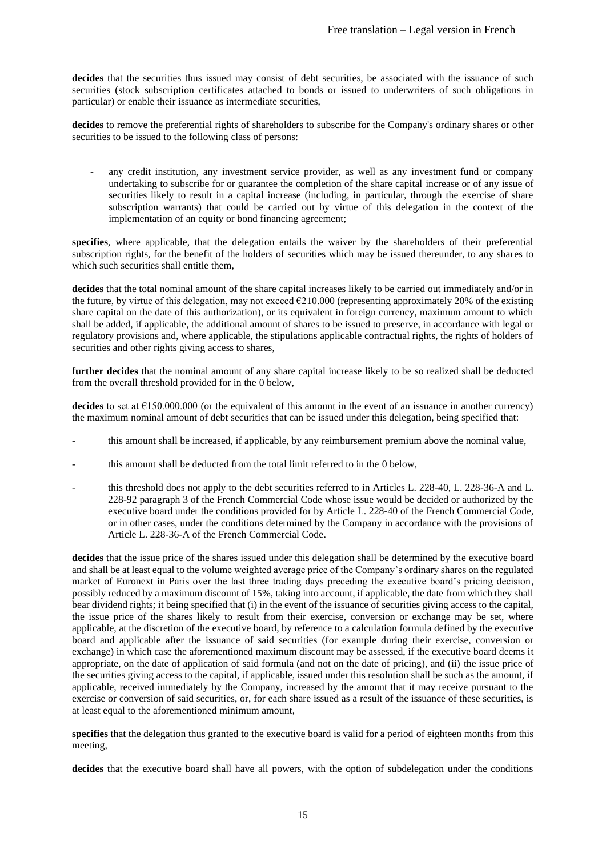decides that the securities thus issued may consist of debt securities, be associated with the issuance of such securities (stock subscription certificates attached to bonds or issued to underwriters of such obligations in particular) or enable their issuance as intermediate securities,

**decides** to remove the preferential rights of shareholders to subscribe for the Company's ordinary shares or other securities to be issued to the following class of persons:

any credit institution, any investment service provider, as well as any investment fund or company undertaking to subscribe for or guarantee the completion of the share capital increase or of any issue of securities likely to result in a capital increase (including, in particular, through the exercise of share subscription warrants) that could be carried out by virtue of this delegation in the context of the implementation of an equity or bond financing agreement;

**specifies**, where applicable, that the delegation entails the waiver by the shareholders of their preferential subscription rights, for the benefit of the holders of securities which may be issued thereunder, to any shares to which such securities shall entitle them.

**decides** that the total nominal amount of the share capital increases likely to be carried out immediately and/or in the future, by virtue of this delegation, may not exceed  $\epsilon$ 210.000 (representing approximately 20% of the existing share capital on the date of this authorization), or its equivalent in foreign currency, maximum amount to which shall be added, if applicable, the additional amount of shares to be issued to preserve, in accordance with legal or regulatory provisions and, where applicable, the stipulations applicable contractual rights, the rights of holders of securities and other rights giving access to shares,

**further decides** that the nominal amount of any share capital increase likely to be so realized shall be deducted from the overall threshold provided for in the [0](#page-25-0) below,

**decides** to set at  $\epsilon$ 150.000.000 (or the equivalent of this amount in the event of an issuance in another currency) the maximum nominal amount of debt securities that can be issued under this delegation, being specified that:

- this amount shall be increased, if applicable, by any reimbursement premium above the nominal value,
- this amount shall be deducted from the total limit referred to in the [0](#page-25-0) below,
- this threshold does not apply to the debt securities referred to in Articles L. 228-40, L. 228-36-A and L. 228-92 paragraph 3 of the French Commercial Code whose issue would be decided or authorized by the executive board under the conditions provided for by Article L. 228-40 of the French Commercial Code, or in other cases, under the conditions determined by the Company in accordance with the provisions of Article L. 228-36-A of the French Commercial Code.

**decides** that the issue price of the shares issued under this delegation shall be determined by the executive board and shall be at least equal to the volume weighted average price of the Company's ordinary shares on the regulated market of Euronext in Paris over the last three trading days preceding the executive board's pricing decision, possibly reduced by a maximum discount of 15%, taking into account, if applicable, the date from which they shall bear dividend rights; it being specified that (i) in the event of the issuance of securities giving access to the capital, the issue price of the shares likely to result from their exercise, conversion or exchange may be set, where applicable, at the discretion of the executive board, by reference to a calculation formula defined by the executive board and applicable after the issuance of said securities (for example during their exercise, conversion or exchange) in which case the aforementioned maximum discount may be assessed, if the executive board deems it appropriate, on the date of application of said formula (and not on the date of pricing), and (ii) the issue price of the securities giving access to the capital, if applicable, issued under this resolution shall be such as the amount, if applicable, received immediately by the Company, increased by the amount that it may receive pursuant to the exercise or conversion of said securities, or, for each share issued as a result of the issuance of these securities, is at least equal to the aforementioned minimum amount,

**specifies** that the delegation thus granted to the executive board is valid for a period of eighteen months from this meeting,

**decides** that the executive board shall have all powers, with the option of subdelegation under the conditions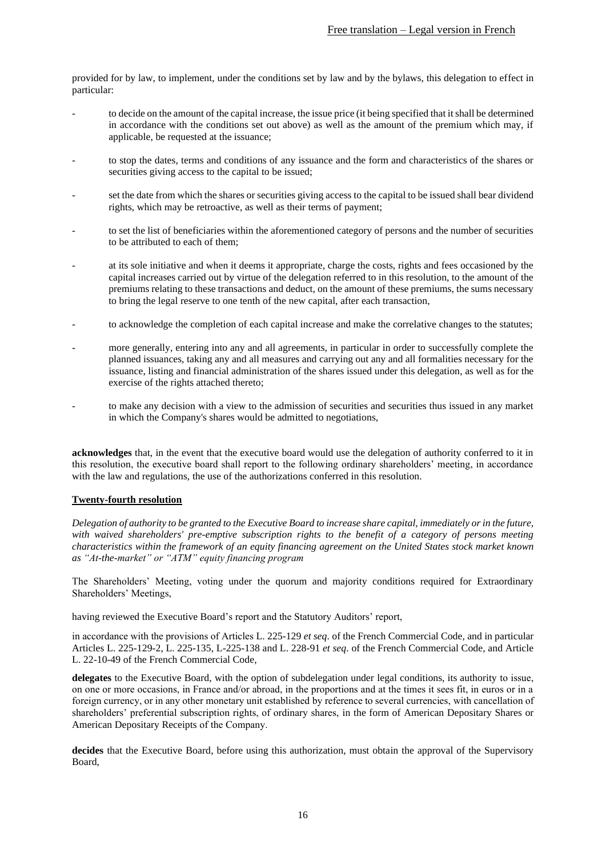provided for by law, to implement, under the conditions set by law and by the bylaws, this delegation to effect in particular:

- to decide on the amount of the capital increase, the issue price (it being specified that it shall be determined in accordance with the conditions set out above) as well as the amount of the premium which may, if applicable, be requested at the issuance;
- to stop the dates, terms and conditions of any issuance and the form and characteristics of the shares or securities giving access to the capital to be issued;
- set the date from which the shares or securities giving access to the capital to be issued shall bear dividend rights, which may be retroactive, as well as their terms of payment;
- to set the list of beneficiaries within the aforementioned category of persons and the number of securities to be attributed to each of them;
- at its sole initiative and when it deems it appropriate, charge the costs, rights and fees occasioned by the capital increases carried out by virtue of the delegation referred to in this resolution, to the amount of the premiums relating to these transactions and deduct, on the amount of these premiums, the sums necessary to bring the legal reserve to one tenth of the new capital, after each transaction,
- to acknowledge the completion of each capital increase and make the correlative changes to the statutes;
- more generally, entering into any and all agreements, in particular in order to successfully complete the planned issuances, taking any and all measures and carrying out any and all formalities necessary for the issuance, listing and financial administration of the shares issued under this delegation, as well as for the exercise of the rights attached thereto;
- to make any decision with a view to the admission of securities and securities thus issued in any market in which the Company's shares would be admitted to negotiations,

**acknowledges** that, in the event that the executive board would use the delegation of authority conferred to it in this resolution, the executive board shall report to the following ordinary shareholders' meeting, in accordance with the law and regulations, the use of the authorizations conferred in this resolution.

### **Twenty-fourth resolution**

*Delegation of authority to be granted to the Executive Board to increase share capital, immediately or in the future, with waived shareholders' pre-emptive subscription rights to the benefit of a category of persons meeting characteristics within the framework of an equity financing agreement on the United States stock market known as "At-the-market" or "ATM" equity financing program*

The Shareholders' Meeting, voting under the quorum and majority conditions required for Extraordinary Shareholders' Meetings,

having reviewed the Executive Board's report and the Statutory Auditors' report,

in accordance with the provisions of Articles L. 225-129 *et seq*. of the French Commercial Code, and in particular Articles L. 225-129-2, L. 225-135, L-225-138 and L. 228-91 *et seq*. of the French Commercial Code, and Article L. 22-10-49 of the French Commercial Code,

**delegates** to the Executive Board, with the option of subdelegation under legal conditions, its authority to issue, on one or more occasions, in France and/or abroad, in the proportions and at the times it sees fit, in euros or in a foreign currency, or in any other monetary unit established by reference to several currencies, with cancellation of shareholders' preferential subscription rights, of ordinary shares, in the form of American Depositary Shares or American Depositary Receipts of the Company.

**decides** that the Executive Board, before using this authorization, must obtain the approval of the Supervisory Board,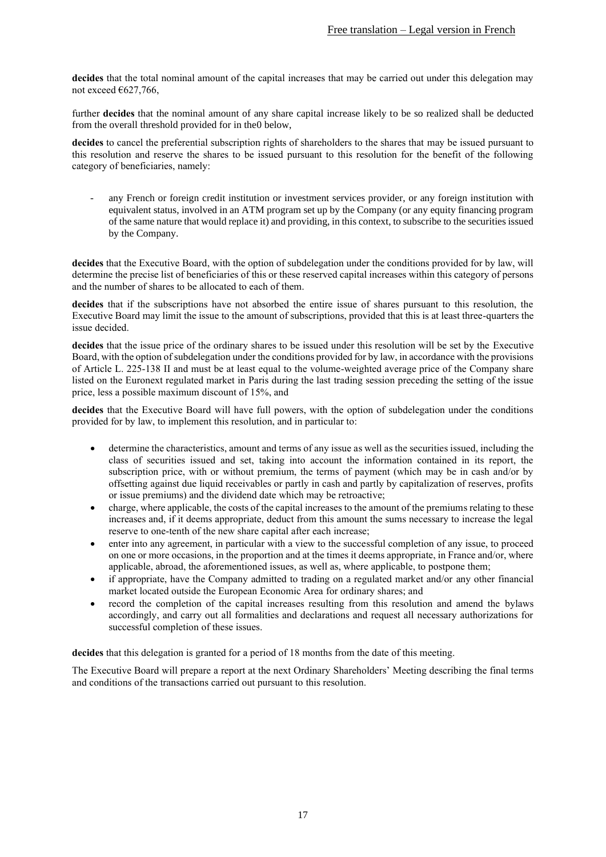**decides** that the total nominal amount of the capital increases that may be carried out under this delegation may not exceed  $€627,766$ ,

further **decides** that the nominal amount of any share capital increase likely to be so realized shall be deducted from the overall threshold provided for in th[e0](#page-25-0) below,

**decides** to cancel the preferential subscription rights of shareholders to the shares that may be issued pursuant to this resolution and reserve the shares to be issued pursuant to this resolution for the benefit of the following category of beneficiaries, namely:

any French or foreign credit institution or investment services provider, or any foreign institution with equivalent status, involved in an ATM program set up by the Company (or any equity financing program of the same nature that would replace it) and providing, in this context, to subscribe to the securities issued by the Company.

**decides** that the Executive Board, with the option of subdelegation under the conditions provided for by law, will determine the precise list of beneficiaries of this or these reserved capital increases within this category of persons and the number of shares to be allocated to each of them.

**decides** that if the subscriptions have not absorbed the entire issue of shares pursuant to this resolution, the Executive Board may limit the issue to the amount of subscriptions, provided that this is at least three-quarters the issue decided.

**decides** that the issue price of the ordinary shares to be issued under this resolution will be set by the Executive Board, with the option of subdelegation under the conditions provided for by law, in accordance with the provisions of Article L. 225-138 II and must be at least equal to the volume-weighted average price of the Company share listed on the Euronext regulated market in Paris during the last trading session preceding the setting of the issue price, less a possible maximum discount of 15%, and

**decides** that the Executive Board will have full powers, with the option of subdelegation under the conditions provided for by law, to implement this resolution, and in particular to:

- determine the characteristics, amount and terms of any issue as well as the securities issued, including the class of securities issued and set, taking into account the information contained in its report, the subscription price, with or without premium, the terms of payment (which may be in cash and/or by offsetting against due liquid receivables or partly in cash and partly by capitalization of reserves, profits or issue premiums) and the dividend date which may be retroactive;
- charge, where applicable, the costs of the capital increases to the amount of the premiums relating to these increases and, if it deems appropriate, deduct from this amount the sums necessary to increase the legal reserve to one-tenth of the new share capital after each increase;
- enter into any agreement, in particular with a view to the successful completion of any issue, to proceed on one or more occasions, in the proportion and at the times it deems appropriate, in France and/or, where applicable, abroad, the aforementioned issues, as well as, where applicable, to postpone them;
- if appropriate, have the Company admitted to trading on a regulated market and/or any other financial market located outside the European Economic Area for ordinary shares; and
- record the completion of the capital increases resulting from this resolution and amend the bylaws accordingly, and carry out all formalities and declarations and request all necessary authorizations for successful completion of these issues.

**decides** that this delegation is granted for a period of 18 months from the date of this meeting.

The Executive Board will prepare a report at the next Ordinary Shareholders' Meeting describing the final terms and conditions of the transactions carried out pursuant to this resolution.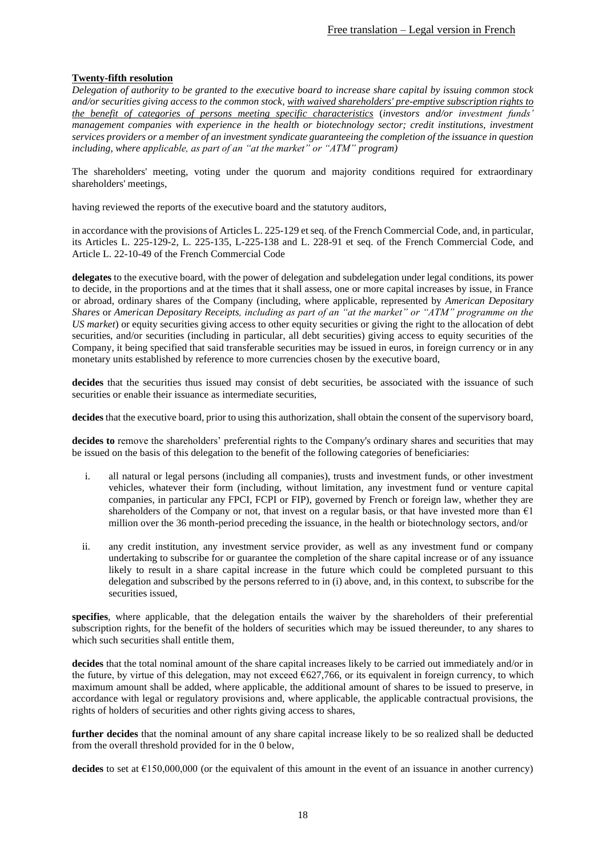## <span id="page-17-0"></span>**Twenty-fifth resolution**

*Delegation of authority to be granted to the executive board to increase share capital by issuing common stock and/or securities giving access to the common stock, with waived shareholders' pre-emptive subscription rights to the benefit of categories of persons meeting specific characteristics* (*investors and/or investment funds' management companies with experience in the health or biotechnology sector; credit institutions, investment services providers or a member of an investment syndicate guaranteeing the completion of the issuance in question including, where applicable, as part of an "at the market" or "ATM" program)*

The shareholders' meeting, voting under the quorum and majority conditions required for extraordinary shareholders' meetings,

having reviewed the reports of the executive board and the statutory auditors,

in accordance with the provisions of Articles L. 225-129 et seq. of the French Commercial Code, and, in particular, its Articles L. 225-129-2, L. 225-135, L-225-138 and L. 228-91 et seq. of the French Commercial Code, and Article L. 22-10-49 of the French Commercial Code

**delegates** to the executive board, with the power of delegation and subdelegation under legal conditions, its power to decide, in the proportions and at the times that it shall assess, one or more capital increases by issue, in France or abroad, ordinary shares of the Company (including, where applicable, represented by *American Depositary Shares* or *American Depositary Receipts, including as part of an "at the market" or "ATM" programme on the US market*) or equity securities giving access to other equity securities or giving the right to the allocation of debt securities, and/or securities (including in particular, all debt securities) giving access to equity securities of the Company, it being specified that said transferable securities may be issued in euros, in foreign currency or in any monetary units established by reference to more currencies chosen by the executive board,

decides that the securities thus issued may consist of debt securities, be associated with the issuance of such securities or enable their issuance as intermediate securities.

**decides** that the executive board, prior to using this authorization, shall obtain the consent of the supervisory board,

**decides to** remove the shareholders' preferential rights to the Company's ordinary shares and securities that may be issued on the basis of this delegation to the benefit of the following categories of beneficiaries:

- i. all natural or legal persons (including all companies), trusts and investment funds, or other investment vehicles, whatever their form (including, without limitation, any investment fund or venture capital companies, in particular any FPCI, FCPI or FIP), governed by French or foreign law, whether they are shareholders of the Company or not, that invest on a regular basis, or that have invested more than  $E1$ million over the 36 month-period preceding the issuance, in the health or biotechnology sectors, and/or
- ii. any credit institution, any investment service provider, as well as any investment fund or company undertaking to subscribe for or guarantee the completion of the share capital increase or of any issuance likely to result in a share capital increase in the future which could be completed pursuant to this delegation and subscribed by the persons referred to in (i) above, and, in this context, to subscribe for the securities issued,

**specifies**, where applicable, that the delegation entails the waiver by the shareholders of their preferential subscription rights, for the benefit of the holders of securities which may be issued thereunder, to any shares to which such securities shall entitle them,

**decides** that the total nominal amount of the share capital increases likely to be carried out immediately and/or in the future, by virtue of this delegation, may not exceed  $6627,766$ , or its equivalent in foreign currency, to which maximum amount shall be added, where applicable, the additional amount of shares to be issued to preserve, in accordance with legal or regulatory provisions and, where applicable, the applicable contractual provisions, the rights of holders of securities and other rights giving access to shares,

**further decides** that the nominal amount of any share capital increase likely to be so realized shall be deducted from the overall threshold provided for in the [0](#page-25-0) below,

**decides** to set at €150,000,000 (or the equivalent of this amount in the event of an issuance in another currency)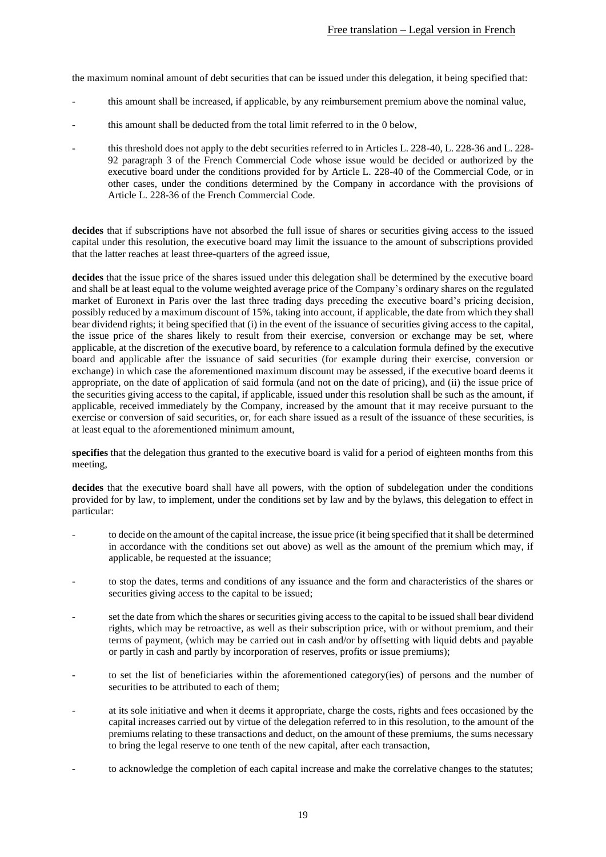the maximum nominal amount of debt securities that can be issued under this delegation, it being specified that:

- this amount shall be increased, if applicable, by any reimbursement premium above the nominal value,
- this amount shall be deducted from the total limit referred to in the [0](#page-25-0) below,
- this threshold does not apply to the debt securities referred to in Articles L. 228-40, L. 228-36 and L. 228- 92 paragraph 3 of the French Commercial Code whose issue would be decided or authorized by the executive board under the conditions provided for by Article L. 228-40 of the Commercial Code, or in other cases, under the conditions determined by the Company in accordance with the provisions of Article L. 228-36 of the French Commercial Code.

**decides** that if subscriptions have not absorbed the full issue of shares or securities giving access to the issued capital under this resolution, the executive board may limit the issuance to the amount of subscriptions provided that the latter reaches at least three-quarters of the agreed issue,

**decides** that the issue price of the shares issued under this delegation shall be determined by the executive board and shall be at least equal to the volume weighted average price of the Company's ordinary shares on the regulated market of Euronext in Paris over the last three trading days preceding the executive board's pricing decision, possibly reduced by a maximum discount of 15%, taking into account, if applicable, the date from which they shall bear dividend rights; it being specified that (i) in the event of the issuance of securities giving access to the capital, the issue price of the shares likely to result from their exercise, conversion or exchange may be set, where applicable, at the discretion of the executive board, by reference to a calculation formula defined by the executive board and applicable after the issuance of said securities (for example during their exercise, conversion or exchange) in which case the aforementioned maximum discount may be assessed, if the executive board deems it appropriate, on the date of application of said formula (and not on the date of pricing), and (ii) the issue price of the securities giving access to the capital, if applicable, issued under this resolution shall be such as the amount, if applicable, received immediately by the Company, increased by the amount that it may receive pursuant to the exercise or conversion of said securities, or, for each share issued as a result of the issuance of these securities, is at least equal to the aforementioned minimum amount,

**specifies** that the delegation thus granted to the executive board is valid for a period of eighteen months from this meeting,

**decides** that the executive board shall have all powers, with the option of subdelegation under the conditions provided for by law, to implement, under the conditions set by law and by the bylaws, this delegation to effect in particular:

- to decide on the amount of the capital increase, the issue price (it being specified that it shall be determined in accordance with the conditions set out above) as well as the amount of the premium which may, if applicable, be requested at the issuance;
- to stop the dates, terms and conditions of any issuance and the form and characteristics of the shares or securities giving access to the capital to be issued;
- set the date from which the shares or securities giving access to the capital to be issued shall bear dividend rights, which may be retroactive, as well as their subscription price, with or without premium, and their terms of payment, (which may be carried out in cash and/or by offsetting with liquid debts and payable or partly in cash and partly by incorporation of reserves, profits or issue premiums);
- to set the list of beneficiaries within the aforementioned category(ies) of persons and the number of securities to be attributed to each of them;
- at its sole initiative and when it deems it appropriate, charge the costs, rights and fees occasioned by the capital increases carried out by virtue of the delegation referred to in this resolution, to the amount of the premiums relating to these transactions and deduct, on the amount of these premiums, the sums necessary to bring the legal reserve to one tenth of the new capital, after each transaction,
- to acknowledge the completion of each capital increase and make the correlative changes to the statutes;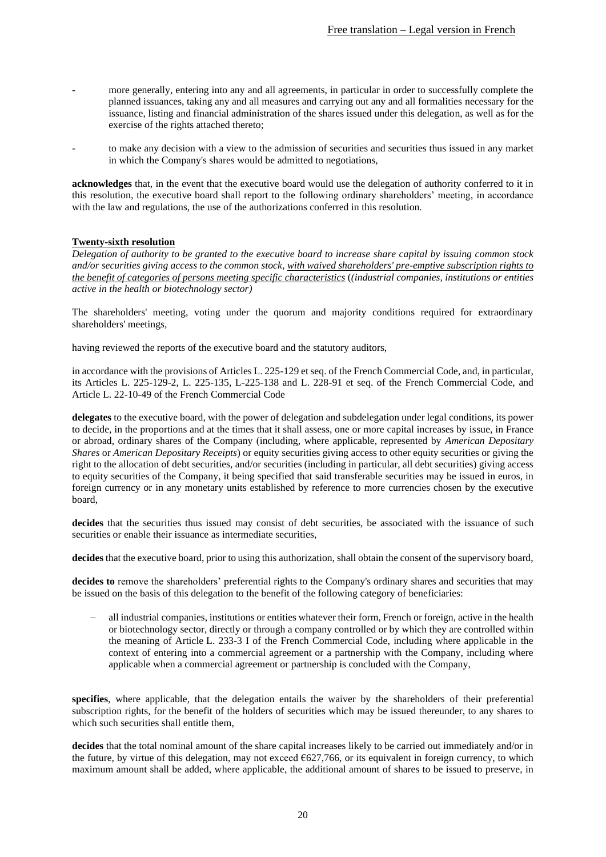- more generally, entering into any and all agreements, in particular in order to successfully complete the planned issuances, taking any and all measures and carrying out any and all formalities necessary for the issuance, listing and financial administration of the shares issued under this delegation, as well as for the exercise of the rights attached thereto;
- to make any decision with a view to the admission of securities and securities thus issued in any market in which the Company's shares would be admitted to negotiations,

**acknowledges** that, in the event that the executive board would use the delegation of authority conferred to it in this resolution, the executive board shall report to the following ordinary shareholders' meeting, in accordance with the law and regulations, the use of the authorizations conferred in this resolution.

### <span id="page-19-0"></span>**Twenty-sixth resolution**

*Delegation of authority to be granted to the executive board to increase share capital by issuing common stock and/or securities giving access to the common stock, with waived shareholders' pre-emptive subscription rights to the benefit of categories of persons meeting specific characteristics* (*(industrial companies, institutions or entities active in the health or biotechnology sector)*

The shareholders' meeting, voting under the quorum and majority conditions required for extraordinary shareholders' meetings,

having reviewed the reports of the executive board and the statutory auditors,

in accordance with the provisions of Articles L. 225-129 et seq. of the French Commercial Code, and, in particular, its Articles L. 225-129-2, L. 225-135, L-225-138 and L. 228-91 et seq. of the French Commercial Code, and Article L. 22-10-49 of the French Commercial Code

**delegates** to the executive board, with the power of delegation and subdelegation under legal conditions, its power to decide, in the proportions and at the times that it shall assess, one or more capital increases by issue, in France or abroad, ordinary shares of the Company (including, where applicable, represented by *American Depositary Shares* or *American Depositary Receipts*) or equity securities giving access to other equity securities or giving the right to the allocation of debt securities, and/or securities (including in particular, all debt securities) giving access to equity securities of the Company, it being specified that said transferable securities may be issued in euros, in foreign currency or in any monetary units established by reference to more currencies chosen by the executive board,

decides that the securities thus issued may consist of debt securities, be associated with the issuance of such securities or enable their issuance as intermediate securities,

**decides** that the executive board, prior to using this authorization, shall obtain the consent of the supervisory board,

**decides to** remove the shareholders' preferential rights to the Company's ordinary shares and securities that may be issued on the basis of this delegation to the benefit of the following category of beneficiaries:

− all industrial companies, institutions or entities whatever their form, French or foreign, active in the health or biotechnology sector, directly or through a company controlled or by which they are controlled within the meaning of Article L. 233-3 I of the French Commercial Code, including where applicable in the context of entering into a commercial agreement or a partnership with the Company, including where applicable when a commercial agreement or partnership is concluded with the Company,

**specifies**, where applicable, that the delegation entails the waiver by the shareholders of their preferential subscription rights, for the benefit of the holders of securities which may be issued thereunder, to any shares to which such securities shall entitle them,

**decides** that the total nominal amount of the share capital increases likely to be carried out immediately and/or in the future, by virtue of this delegation, may not exceed  $6627,766$ , or its equivalent in foreign currency, to which maximum amount shall be added, where applicable, the additional amount of shares to be issued to preserve, in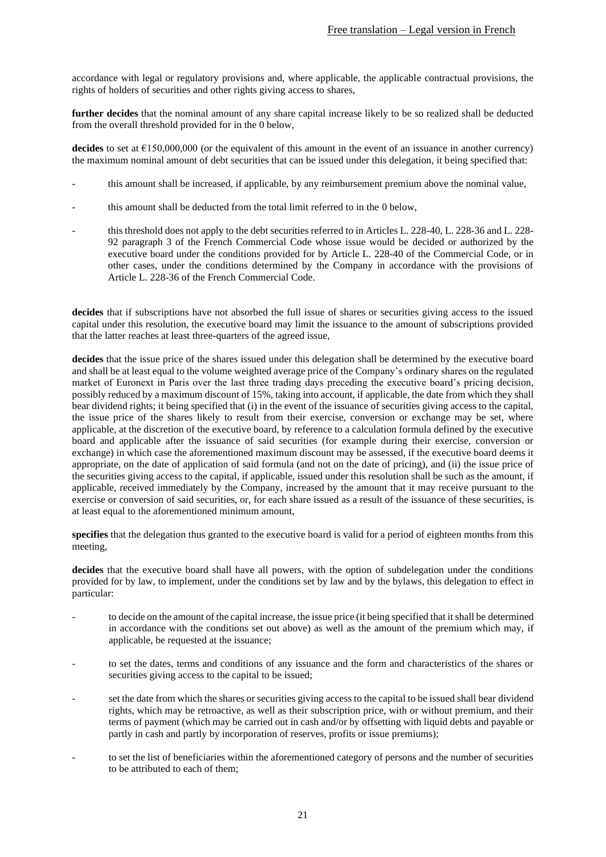accordance with legal or regulatory provisions and, where applicable, the applicable contractual provisions, the rights of holders of securities and other rights giving access to shares,

**further decides** that the nominal amount of any share capital increase likely to be so realized shall be deducted from the overall threshold provided for in th[e 0](#page-25-0) below,

**decides** to set at  $\epsilon$ 150,000,000 (or the equivalent of this amount in the event of an issuance in another currency) the maximum nominal amount of debt securities that can be issued under this delegation, it being specified that:

- this amount shall be increased, if applicable, by any reimbursement premium above the nominal value,
- this amount shall be deducted from the total limit referred to in the [0](#page-25-0) below,
- this threshold does not apply to the debt securities referred to in Articles L. 228-40, L. 228-36 and L. 228- 92 paragraph 3 of the French Commercial Code whose issue would be decided or authorized by the executive board under the conditions provided for by Article L. 228-40 of the Commercial Code, or in other cases, under the conditions determined by the Company in accordance with the provisions of Article L. 228-36 of the French Commercial Code.

**decides** that if subscriptions have not absorbed the full issue of shares or securities giving access to the issued capital under this resolution, the executive board may limit the issuance to the amount of subscriptions provided that the latter reaches at least three-quarters of the agreed issue,

**decides** that the issue price of the shares issued under this delegation shall be determined by the executive board and shall be at least equal to the volume weighted average price of the Company's ordinary shares on the regulated market of Euronext in Paris over the last three trading days preceding the executive board's pricing decision, possibly reduced by a maximum discount of 15%, taking into account, if applicable, the date from which they shall bear dividend rights; it being specified that (i) in the event of the issuance of securities giving access to the capital, the issue price of the shares likely to result from their exercise, conversion or exchange may be set, where applicable, at the discretion of the executive board, by reference to a calculation formula defined by the executive board and applicable after the issuance of said securities (for example during their exercise, conversion or exchange) in which case the aforementioned maximum discount may be assessed, if the executive board deems it appropriate, on the date of application of said formula (and not on the date of pricing), and (ii) the issue price of the securities giving access to the capital, if applicable, issued under this resolution shall be such as the amount, if applicable, received immediately by the Company, increased by the amount that it may receive pursuant to the exercise or conversion of said securities, or, for each share issued as a result of the issuance of these securities, is at least equal to the aforementioned minimum amount,

**specifies** that the delegation thus granted to the executive board is valid for a period of eighteen months from this meeting,

**decides** that the executive board shall have all powers, with the option of subdelegation under the conditions provided for by law, to implement, under the conditions set by law and by the bylaws, this delegation to effect in particular:

- to decide on the amount of the capital increase, the issue price (it being specified that it shall be determined in accordance with the conditions set out above) as well as the amount of the premium which may, if applicable, be requested at the issuance;
- to set the dates, terms and conditions of any issuance and the form and characteristics of the shares or securities giving access to the capital to be issued;
- set the date from which the shares or securities giving access to the capital to be issued shall bear dividend rights, which may be retroactive, as well as their subscription price, with or without premium, and their terms of payment (which may be carried out in cash and/or by offsetting with liquid debts and payable or partly in cash and partly by incorporation of reserves, profits or issue premiums);
- to set the list of beneficiaries within the aforementioned category of persons and the number of securities to be attributed to each of them;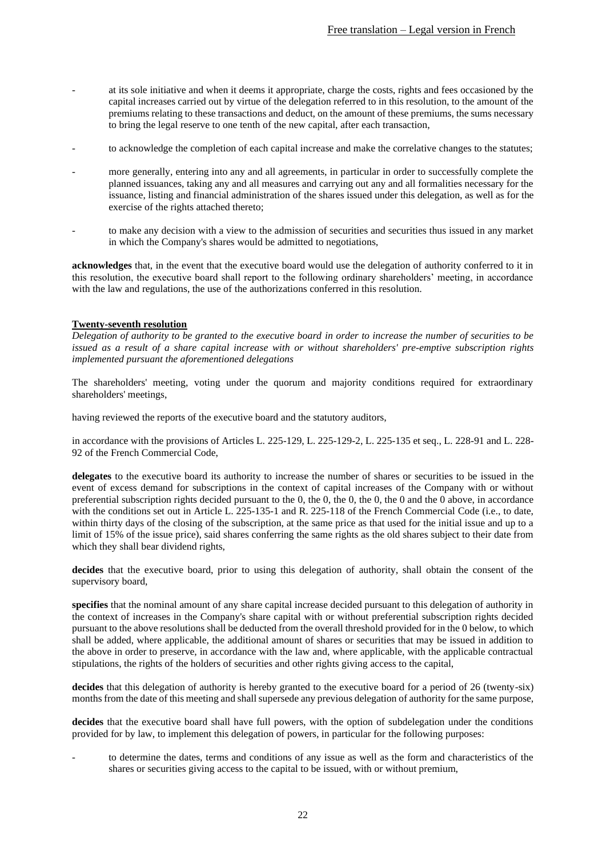- at its sole initiative and when it deems it appropriate, charge the costs, rights and fees occasioned by the capital increases carried out by virtue of the delegation referred to in this resolution, to the amount of the premiums relating to these transactions and deduct, on the amount of these premiums, the sums necessary to bring the legal reserve to one tenth of the new capital, after each transaction,
- to acknowledge the completion of each capital increase and make the correlative changes to the statutes;
- more generally, entering into any and all agreements, in particular in order to successfully complete the planned issuances, taking any and all measures and carrying out any and all formalities necessary for the issuance, listing and financial administration of the shares issued under this delegation, as well as for the exercise of the rights attached thereto;
- to make any decision with a view to the admission of securities and securities thus issued in any market in which the Company's shares would be admitted to negotiations,

**acknowledges** that, in the event that the executive board would use the delegation of authority conferred to it in this resolution, the executive board shall report to the following ordinary shareholders' meeting, in accordance with the law and regulations, the use of the authorizations conferred in this resolution.

### <span id="page-21-0"></span>**Twenty-seventh resolution**

*Delegation of authority to be granted to the executive board in order to increase the number of securities to be issued as a result of a share capital increase with or without shareholders' pre-emptive subscription rights implemented pursuant the aforementioned delegations*

The shareholders' meeting, voting under the quorum and majority conditions required for extraordinary shareholders' meetings,

having reviewed the reports of the executive board and the statutory auditors,

in accordance with the provisions of Articles L. 225-129, L. 225-129-2, L. 225-135 et seq., L. 228-91 and L. 228- 92 of the French Commercial Code,

**delegates** to the executive board its authority to increase the number of shares or securities to be issued in the event of excess demand for subscriptions in the context of capital increases of the Company with or without preferential subscription rights decided pursuant to the [0,](#page-6-0) th[e 0,](#page-8-0) th[e 0,](#page-10-0) the [0,](#page-13-0) the [0](#page-17-0) and the [0](#page-19-0) above, in accordance with the conditions set out in Article L. 225-135-1 and R. 225-118 of the French Commercial Code (i.e., to date, within thirty days of the closing of the subscription, at the same price as that used for the initial issue and up to a limit of 15% of the issue price), said shares conferring the same rights as the old shares subject to their date from which they shall bear dividend rights,

**decides** that the executive board, prior to using this delegation of authority, shall obtain the consent of the supervisory board,

**specifies** that the nominal amount of any share capital increase decided pursuant to this delegation of authority in the context of increases in the Company's share capital with or without preferential subscription rights decided pursuant to the above resolutions shall be deducted from the overall threshold provided for in the [0](#page-25-0) below, to which shall be added, where applicable, the additional amount of shares or securities that may be issued in addition to the above in order to preserve, in accordance with the law and, where applicable, with the applicable contractual stipulations, the rights of the holders of securities and other rights giving access to the capital,

**decides** that this delegation of authority is hereby granted to the executive board for a period of 26 (twenty-six) months from the date of this meeting and shall supersede any previous delegation of authority for the same purpose,

**decides** that the executive board shall have full powers, with the option of subdelegation under the conditions provided for by law, to implement this delegation of powers, in particular for the following purposes:

to determine the dates, terms and conditions of any issue as well as the form and characteristics of the shares or securities giving access to the capital to be issued, with or without premium,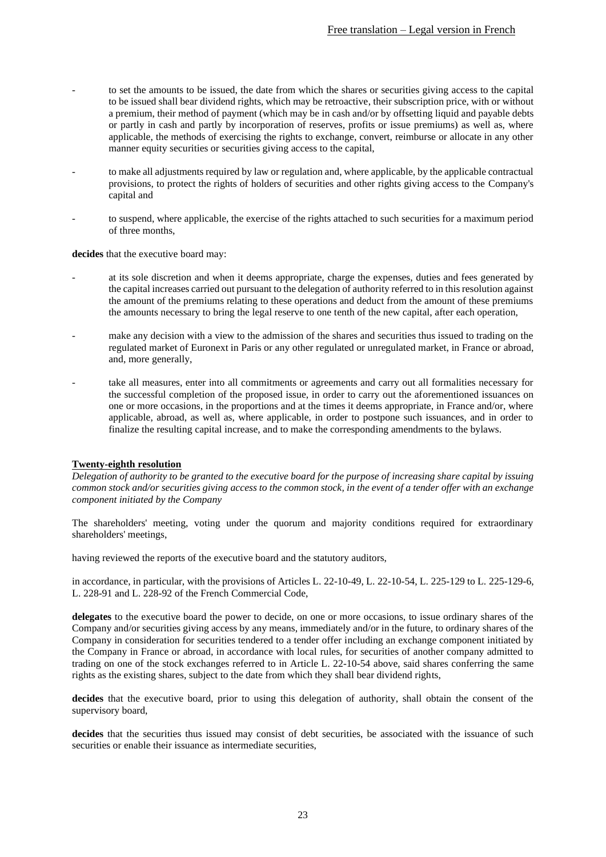- to set the amounts to be issued, the date from which the shares or securities giving access to the capital to be issued shall bear dividend rights, which may be retroactive, their subscription price, with or without a premium, their method of payment (which may be in cash and/or by offsetting liquid and payable debts or partly in cash and partly by incorporation of reserves, profits or issue premiums) as well as, where applicable, the methods of exercising the rights to exchange, convert, reimburse or allocate in any other manner equity securities or securities giving access to the capital,
- to make all adjustments required by law or regulation and, where applicable, by the applicable contractual provisions, to protect the rights of holders of securities and other rights giving access to the Company's capital and
- to suspend, where applicable, the exercise of the rights attached to such securities for a maximum period of three months,

**decides** that the executive board may:

- at its sole discretion and when it deems appropriate, charge the expenses, duties and fees generated by the capital increases carried out pursuant to the delegation of authority referred to in this resolution against the amount of the premiums relating to these operations and deduct from the amount of these premiums the amounts necessary to bring the legal reserve to one tenth of the new capital, after each operation,
- make any decision with a view to the admission of the shares and securities thus issued to trading on the regulated market of Euronext in Paris or any other regulated or unregulated market, in France or abroad, and, more generally,
- take all measures, enter into all commitments or agreements and carry out all formalities necessary for the successful completion of the proposed issue, in order to carry out the aforementioned issuances on one or more occasions, in the proportions and at the times it deems appropriate, in France and/or, where applicable, abroad, as well as, where applicable, in order to postpone such issuances, and in order to finalize the resulting capital increase, and to make the corresponding amendments to the bylaws.

#### <span id="page-22-0"></span>**Twenty-eighth resolution**

*Delegation of authority to be granted to the executive board for the purpose of increasing share capital by issuing common stock and/or securities giving access to the common stock, in the event of a tender offer with an exchange component initiated by the Company* 

The shareholders' meeting, voting under the quorum and majority conditions required for extraordinary shareholders' meetings,

having reviewed the reports of the executive board and the statutory auditors,

in accordance, in particular, with the provisions of Articles L. 22-10-49, L. 22-10-54, L. 225-129 to L. 225-129-6, L. 228-91 and L. 228-92 of the French Commercial Code,

**delegates** to the executive board the power to decide, on one or more occasions, to issue ordinary shares of the Company and/or securities giving access by any means, immediately and/or in the future, to ordinary shares of the Company in consideration for securities tendered to a tender offer including an exchange component initiated by the Company in France or abroad, in accordance with local rules, for securities of another company admitted to trading on one of the stock exchanges referred to in Article L. 22-10-54 above, said shares conferring the same rights as the existing shares, subject to the date from which they shall bear dividend rights,

**decides** that the executive board, prior to using this delegation of authority, shall obtain the consent of the supervisory board,

decides that the securities thus issued may consist of debt securities, be associated with the issuance of such securities or enable their issuance as intermediate securities,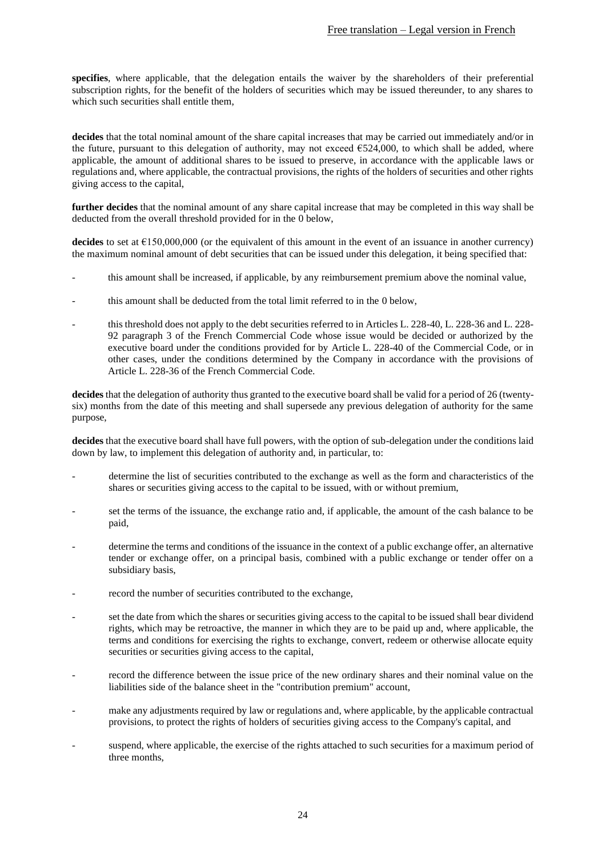**specifies**, where applicable, that the delegation entails the waiver by the shareholders of their preferential subscription rights, for the benefit of the holders of securities which may be issued thereunder, to any shares to which such securities shall entitle them,

**decides** that the total nominal amount of the share capital increases that may be carried out immediately and/or in the future, pursuant to this delegation of authority, may not exceed  $6524,000$ , to which shall be added, where applicable, the amount of additional shares to be issued to preserve, in accordance with the applicable laws or regulations and, where applicable, the contractual provisions, the rights of the holders of securities and other rights giving access to the capital,

**further decides** that the nominal amount of any share capital increase that may be completed in this way shall be deducted from the overall threshold provided for in the [0](#page-25-0) below,

**decides** to set at €150,000,000 (or the equivalent of this amount in the event of an issuance in another currency) the maximum nominal amount of debt securities that can be issued under this delegation, it being specified that:

- this amount shall be increased, if applicable, by any reimbursement premium above the nominal value,
- this amount shall be deducted from the total limit referred to in the [0](#page-25-0) below.
- this threshold does not apply to the debt securities referred to in Articles L. 228-40, L. 228-36 and L. 228-92 paragraph 3 of the French Commercial Code whose issue would be decided or authorized by the executive board under the conditions provided for by Article L. 228-40 of the Commercial Code, or in other cases, under the conditions determined by the Company in accordance with the provisions of Article L. 228-36 of the French Commercial Code.

**decides** that the delegation of authority thus granted to the executive board shall be valid for a period of 26 (twentysix) months from the date of this meeting and shall supersede any previous delegation of authority for the same purpose,

**decides** that the executive board shall have full powers, with the option of sub-delegation under the conditions laid down by law, to implement this delegation of authority and, in particular, to:

- determine the list of securities contributed to the exchange as well as the form and characteristics of the shares or securities giving access to the capital to be issued, with or without premium,
- set the terms of the issuance, the exchange ratio and, if applicable, the amount of the cash balance to be paid,
- determine the terms and conditions of the issuance in the context of a public exchange offer, an alternative tender or exchange offer, on a principal basis, combined with a public exchange or tender offer on a subsidiary basis,
- record the number of securities contributed to the exchange,
- set the date from which the shares or securities giving access to the capital to be issued shall bear dividend rights, which may be retroactive, the manner in which they are to be paid up and, where applicable, the terms and conditions for exercising the rights to exchange, convert, redeem or otherwise allocate equity securities or securities giving access to the capital,
- record the difference between the issue price of the new ordinary shares and their nominal value on the liabilities side of the balance sheet in the "contribution premium" account,
- make any adjustments required by law or regulations and, where applicable, by the applicable contractual provisions, to protect the rights of holders of securities giving access to the Company's capital, and
- suspend, where applicable, the exercise of the rights attached to such securities for a maximum period of three months,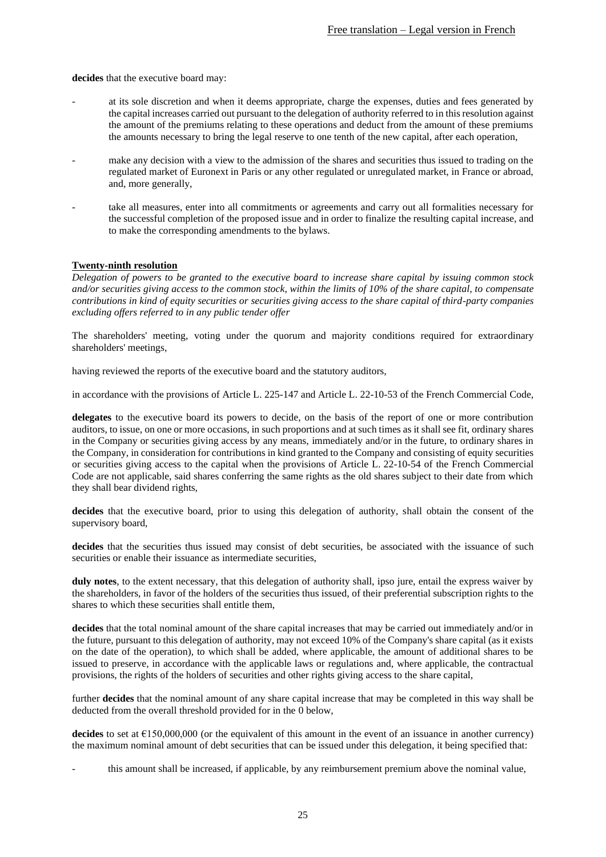**decides** that the executive board may:

- at its sole discretion and when it deems appropriate, charge the expenses, duties and fees generated by the capital increases carried out pursuant to the delegation of authority referred to in this resolution against the amount of the premiums relating to these operations and deduct from the amount of these premiums the amounts necessary to bring the legal reserve to one tenth of the new capital, after each operation,
- make any decision with a view to the admission of the shares and securities thus issued to trading on the regulated market of Euronext in Paris or any other regulated or unregulated market, in France or abroad, and, more generally,
- take all measures, enter into all commitments or agreements and carry out all formalities necessary for the successful completion of the proposed issue and in order to finalize the resulting capital increase, and to make the corresponding amendments to the bylaws.

### <span id="page-24-0"></span>**Twenty-ninth resolution**

*Delegation of powers to be granted to the executive board to increase share capital by issuing common stock and/or securities giving access to the common stock, within the limits of 10% of the share capital, to compensate contributions in kind of equity securities or securities giving access to the share capital of third-party companies excluding offers referred to in any public tender offer*

The shareholders' meeting, voting under the quorum and majority conditions required for extraordinary shareholders' meetings,

having reviewed the reports of the executive board and the statutory auditors,

in accordance with the provisions of Article L. 225-147 and Article L. 22-10-53 of the French Commercial Code,

**delegates** to the executive board its powers to decide, on the basis of the report of one or more contribution auditors, to issue, on one or more occasions, in such proportions and at such times as it shall see fit, ordinary shares in the Company or securities giving access by any means, immediately and/or in the future, to ordinary shares in the Company, in consideration for contributions in kind granted to the Company and consisting of equity securities or securities giving access to the capital when the provisions of Article L. 22-10-54 of the French Commercial Code are not applicable, said shares conferring the same rights as the old shares subject to their date from which they shall bear dividend rights,

**decides** that the executive board, prior to using this delegation of authority, shall obtain the consent of the supervisory board,

**decides** that the securities thus issued may consist of debt securities, be associated with the issuance of such securities or enable their issuance as intermediate securities,

**duly notes**, to the extent necessary, that this delegation of authority shall, ipso jure, entail the express waiver by the shareholders, in favor of the holders of the securities thus issued, of their preferential subscription rights to the shares to which these securities shall entitle them,

**decides** that the total nominal amount of the share capital increases that may be carried out immediately and/or in the future, pursuant to this delegation of authority, may not exceed 10% of the Company's share capital (as it exists on the date of the operation), to which shall be added, where applicable, the amount of additional shares to be issued to preserve, in accordance with the applicable laws or regulations and, where applicable, the contractual provisions, the rights of the holders of securities and other rights giving access to the share capital,

further **decides** that the nominal amount of any share capital increase that may be completed in this way shall be deducted from the overall threshold provided for in the [0](#page-25-0) below,

**decides** to set at €150,000,000 (or the equivalent of this amount in the event of an issuance in another currency) the maximum nominal amount of debt securities that can be issued under this delegation, it being specified that:

this amount shall be increased, if applicable, by any reimbursement premium above the nominal value,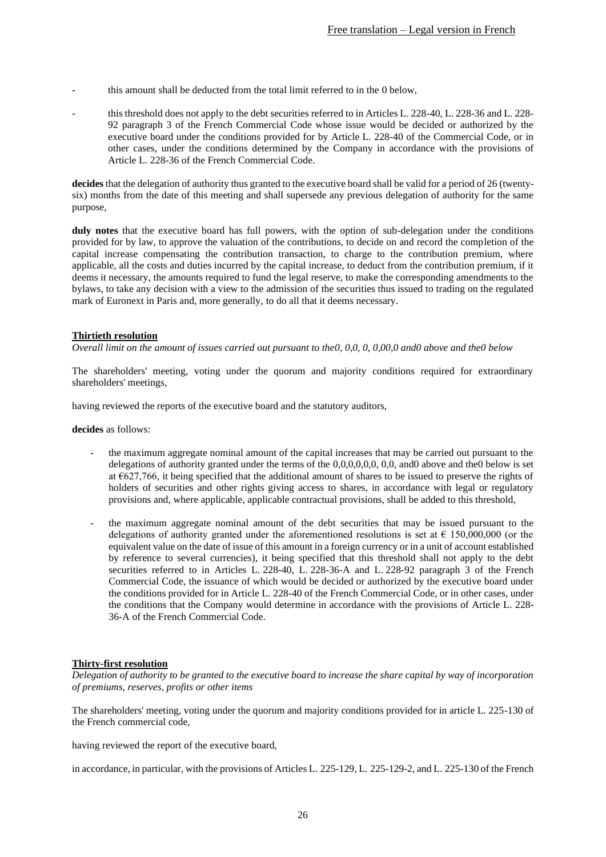- this amount shall be deducted from the total limit referred to in the [0](#page-25-0) below,
- this threshold does not apply to the debt securities referred to in Articles L. 228-40, L. 228-36 and L. 228-92 paragraph 3 of the French Commercial Code whose issue would be decided or authorized by the executive board under the conditions provided for by Article L. 228-40 of the Commercial Code, or in other cases, under the conditions determined by the Company in accordance with the provisions of Article L. 228-36 of the French Commercial Code.

**decides** that the delegation of authority thus granted to the executive board shall be valid for a period of 26 (twentysix) months from the date of this meeting and shall supersede any previous delegation of authority for the same purpose,

**duly notes** that the executive board has full powers, with the option of sub-delegation under the conditions provided for by law, to approve the valuation of the contributions, to decide on and record the completion of the capital increase compensating the contribution transaction, to charge to the contribution premium, where applicable, all the costs and duties incurred by the capital increase, to deduct from the contribution premium, if it deems it necessary, the amounts required to fund the legal reserve, to make the corresponding amendments to the bylaws, to take any decision with a view to the admission of the securities thus issued to trading on the regulated mark of Euronext in Paris and, more generally, to do all that it deems necessary.

## <span id="page-25-0"></span>**Thirtieth resolution**

*Overall limit on the amount of issues carried out pursuant to th[e0,](#page-6-0) [0](#page-8-0)[,0,](#page-10-0) [0,](#page-13-0) [0,](#page-17-0)[0](#page-19-0)[0](#page-21-0)[,0](#page-22-0) an[d0](#page-24-0) above and th[e0](#page-32-0) below*

The shareholders' meeting, voting under the quorum and majority conditions required for extraordinary shareholders' meetings,

having reviewed the reports of the executive board and the statutory auditors,

**decides** as follows:

- the maximum aggregate nominal amount of the capital increases that may be carried out pursuant to the delegations of authority granted under the terms of the [0](#page-6-0)[,0](#page-8-0)[,0](#page-10-0)[,0](#page-13-0)[,0](#page-17-0)[,0,](#page-19-0) [0](#page-21-0)[,0,](#page-22-0) an[d0](#page-24-0) above and th[e0](#page-32-0) below is set at €627,766, it being specified that the additional amount of shares to be issued to preserve the rights of holders of securities and other rights giving access to shares, in accordance with legal or regulatory provisions and, where applicable, applicable contractual provisions, shall be added to this threshold,
- the maximum aggregate nominal amount of the debt securities that may be issued pursuant to the delegations of authority granted under the aforementioned resolutions is set at  $\epsilon$  150,000,000 (or the equivalent value on the date of issue of this amount in a foreign currency or in a unit of account established by reference to several currencies), it being specified that this threshold shall not apply to the debt securities referred to in Articles L. 228-40, L. 228-36-A and L. 228-92 paragraph 3 of the French Commercial Code, the issuance of which would be decided or authorized by the executive board under the conditions provided for in Article L. 228-40 of the French Commercial Code, or in other cases, under the conditions that the Company would determine in accordance with the provisions of Article L. 228- 36-A of the French Commercial Code.

### **Thirty-first resolution**

*Delegation of authority to be granted to the executive board to increase the share capital by way of incorporation of premiums, reserves, profits or other items*

The shareholders' meeting, voting under the quorum and majority conditions provided for in article L. 225-130 of the French commercial code,

having reviewed the report of the executive board,

in accordance, in particular, with the provisions of Articles L. 225-129, L. 225-129-2, and L. 225-130 of the French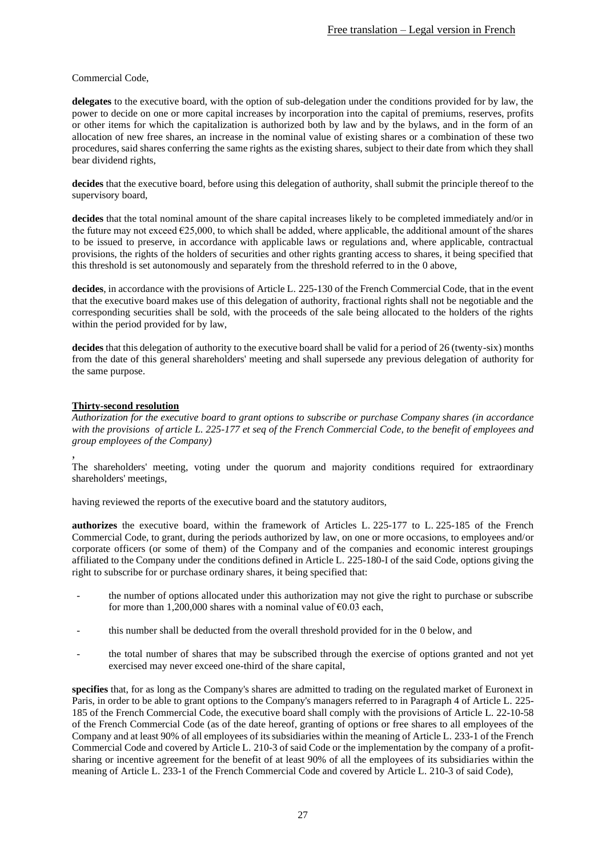## Commercial Code,

**delegates** to the executive board, with the option of sub-delegation under the conditions provided for by law, the power to decide on one or more capital increases by incorporation into the capital of premiums, reserves, profits or other items for which the capitalization is authorized both by law and by the bylaws, and in the form of an allocation of new free shares, an increase in the nominal value of existing shares or a combination of these two procedures, said shares conferring the same rights as the existing shares, subject to their date from which they shall bear dividend rights,

**decides** that the executive board, before using this delegation of authority, shall submit the principle thereof to the supervisory board,

**decides** that the total nominal amount of the share capital increases likely to be completed immediately and/or in the future may not exceed  $\epsilon$ 25,000, to which shall be added, where applicable, the additional amount of the shares to be issued to preserve, in accordance with applicable laws or regulations and, where applicable, contractual provisions, the rights of the holders of securities and other rights granting access to shares, it being specified that this threshold is set autonomously and separately from the threshold referred to in the [0](#page-25-0) above,

**decides**, in accordance with the provisions of Article L. 225-130 of the French Commercial Code, that in the event that the executive board makes use of this delegation of authority, fractional rights shall not be negotiable and the corresponding securities shall be sold, with the proceeds of the sale being allocated to the holders of the rights within the period provided for by law,

**decides** that this delegation of authority to the executive board shall be valid for a period of 26 (twenty-six) months from the date of this general shareholders' meeting and shall supersede any previous delegation of authority for the same purpose.

## <span id="page-26-0"></span>**Thirty-second resolution**

*Authorization for the executive board to grant options to subscribe or purchase Company shares (in accordance with the provisions of article L. 225-177 et seq of the French Commercial Code, to the benefit of employees and group employees of the Company)*

, The shareholders' meeting, voting under the quorum and majority conditions required for extraordinary shareholders' meetings,

having reviewed the reports of the executive board and the statutory auditors,

**authorizes** the executive board, within the framework of Articles L. 225-177 to L. 225-185 of the French Commercial Code, to grant, during the periods authorized by law, on one or more occasions, to employees and/or corporate officers (or some of them) of the Company and of the companies and economic interest groupings affiliated to the Company under the conditions defined in Article L. 225-180-I of the said Code, options giving the right to subscribe for or purchase ordinary shares, it being specified that:

- the number of options allocated under this authorization may not give the right to purchase or subscribe for more than 1,200,000 shares with a nominal value of  $\epsilon$ 0.03 each,
- this number shall be deducted from the overall threshold provided for in the [0](#page-31-0) below, and
- the total number of shares that may be subscribed through the exercise of options granted and not yet exercised may never exceed one-third of the share capital,

**specifies** that, for as long as the Company's shares are admitted to trading on the regulated market of Euronext in Paris, in order to be able to grant options to the Company's managers referred to in Paragraph 4 of Article L. 225- 185 of the French Commercial Code, the executive board shall comply with the provisions of Article L. 22-10-58 of the French Commercial Code (as of the date hereof, granting of options or free shares to all employees of the Company and at least 90% of all employees of its subsidiaries within the meaning of Article L. 233-1 of the French Commercial Code and covered by Article L. 210-3 of said Code or the implementation by the company of a profitsharing or incentive agreement for the benefit of at least 90% of all the employees of its subsidiaries within the meaning of Article L. 233-1 of the French Commercial Code and covered by Article L. 210-3 of said Code),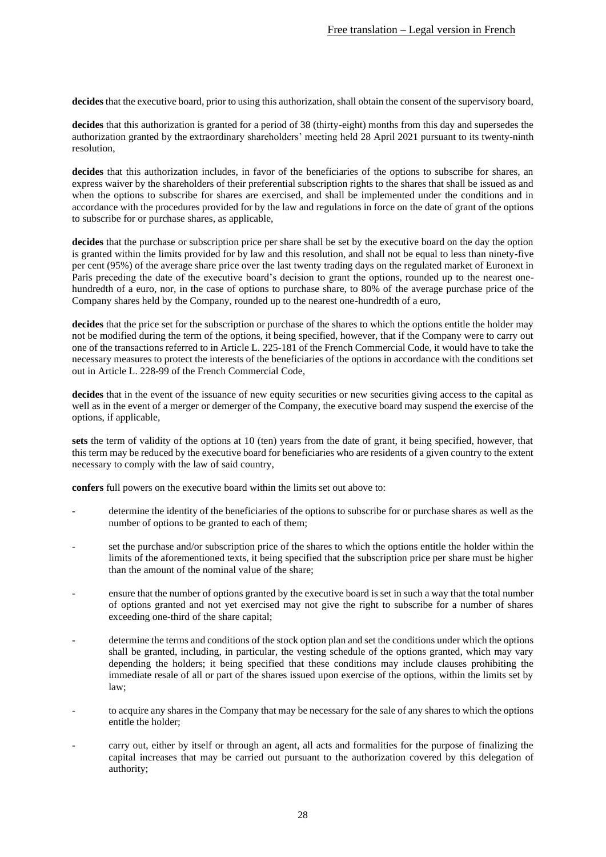**decides** that the executive board, prior to using this authorization, shall obtain the consent of the supervisory board,

**decides** that this authorization is granted for a period of 38 (thirty-eight) months from this day and supersedes the authorization granted by the extraordinary shareholders' meeting held 28 April 2021 pursuant to its twenty-ninth resolution,

**decides** that this authorization includes, in favor of the beneficiaries of the options to subscribe for shares, an express waiver by the shareholders of their preferential subscription rights to the shares that shall be issued as and when the options to subscribe for shares are exercised, and shall be implemented under the conditions and in accordance with the procedures provided for by the law and regulations in force on the date of grant of the options to subscribe for or purchase shares, as applicable,

**decides** that the purchase or subscription price per share shall be set by the executive board on the day the option is granted within the limits provided for by law and this resolution, and shall not be equal to less than ninety-five per cent (95%) of the average share price over the last twenty trading days on the regulated market of Euronext in Paris preceding the date of the executive board's decision to grant the options, rounded up to the nearest onehundredth of a euro, nor, in the case of options to purchase share, to 80% of the average purchase price of the Company shares held by the Company, rounded up to the nearest one-hundredth of a euro,

**decides** that the price set for the subscription or purchase of the shares to which the options entitle the holder may not be modified during the term of the options, it being specified, however, that if the Company were to carry out one of the transactions referred to in Article L. 225-181 of the French Commercial Code, it would have to take the necessary measures to protect the interests of the beneficiaries of the options in accordance with the conditions set out in Article L. 228-99 of the French Commercial Code,

decides that in the event of the issuance of new equity securities or new securities giving access to the capital as well as in the event of a merger or demerger of the Company, the executive board may suspend the exercise of the options, if applicable,

**sets** the term of validity of the options at 10 (ten) years from the date of grant, it being specified, however, that this term may be reduced by the executive board for beneficiaries who are residents of a given country to the extent necessary to comply with the law of said country,

**confers** full powers on the executive board within the limits set out above to:

- determine the identity of the beneficiaries of the options to subscribe for or purchase shares as well as the number of options to be granted to each of them;
- set the purchase and/or subscription price of the shares to which the options entitle the holder within the limits of the aforementioned texts, it being specified that the subscription price per share must be higher than the amount of the nominal value of the share;
- ensure that the number of options granted by the executive board is set in such a way that the total number of options granted and not yet exercised may not give the right to subscribe for a number of shares exceeding one-third of the share capital;
- determine the terms and conditions of the stock option plan and set the conditions under which the options shall be granted, including, in particular, the vesting schedule of the options granted, which may vary depending the holders; it being specified that these conditions may include clauses prohibiting the immediate resale of all or part of the shares issued upon exercise of the options, within the limits set by law;
- to acquire any shares in the Company that may be necessary for the sale of any shares to which the options entitle the holder;
- carry out, either by itself or through an agent, all acts and formalities for the purpose of finalizing the capital increases that may be carried out pursuant to the authorization covered by this delegation of authority;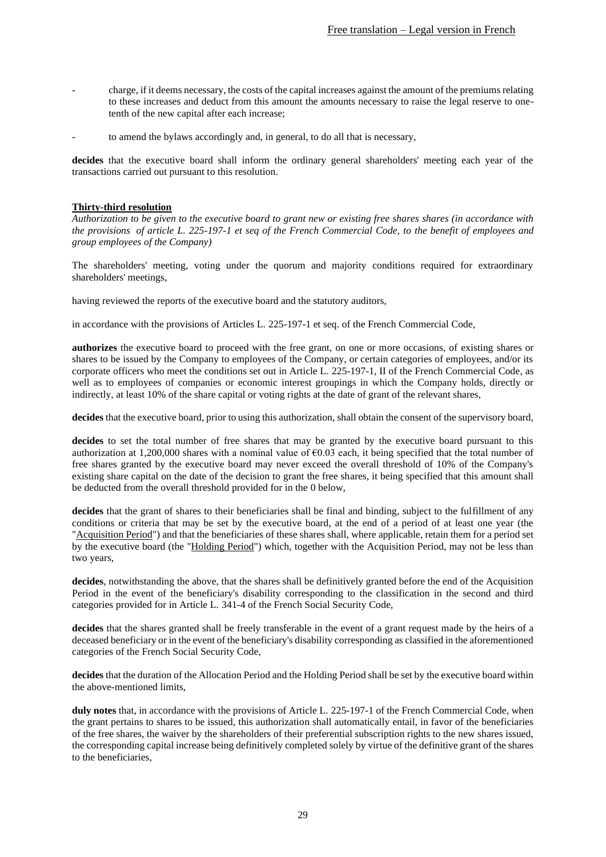- charge, if it deems necessary, the costs of the capital increases against the amount of the premiums relating to these increases and deduct from this amount the amounts necessary to raise the legal reserve to onetenth of the new capital after each increase;
- to amend the bylaws accordingly and, in general, to do all that is necessary,

**decides** that the executive board shall inform the ordinary general shareholders' meeting each year of the transactions carried out pursuant to this resolution.

#### <span id="page-28-0"></span>**Thirty-third resolution**

*Authorization to be given to the executive board to grant new or existing free shares shares (in accordance with the provisions of article L. 225-197-1 et seq of the French Commercial Code, to the benefit of employees and group employees of the Company)*

The shareholders' meeting, voting under the quorum and majority conditions required for extraordinary shareholders' meetings,

having reviewed the reports of the executive board and the statutory auditors,

in accordance with the provisions of Articles L. 225-197-1 et seq. of the French Commercial Code,

**authorizes** the executive board to proceed with the free grant, on one or more occasions, of existing shares or shares to be issued by the Company to employees of the Company, or certain categories of employees, and/or its corporate officers who meet the conditions set out in Article L. 225-197-1, II of the French Commercial Code, as well as to employees of companies or economic interest groupings in which the Company holds, directly or indirectly, at least 10% of the share capital or voting rights at the date of grant of the relevant shares,

**decides** that the executive board, prior to using this authorization, shall obtain the consent of the supervisory board,

**decides** to set the total number of free shares that may be granted by the executive board pursuant to this authorization at 1,200,000 shares with a nominal value of €0.03 each, it being specified that the total number of free shares granted by the executive board may never exceed the overall threshold of 10% of the Company's existing share capital on the date of the decision to grant the free shares, it being specified that this amount shall be deducted from the overall threshold provided for in the [0](#page-31-0) below,

**decides** that the grant of shares to their beneficiaries shall be final and binding, subject to the fulfillment of any conditions or criteria that may be set by the executive board, at the end of a period of at least one year (the "Acquisition Period") and that the beneficiaries of these shares shall, where applicable, retain them for a period set by the executive board (the "Holding Period") which, together with the Acquisition Period, may not be less than two years,

**decides**, notwithstanding the above, that the shares shall be definitively granted before the end of the Acquisition Period in the event of the beneficiary's disability corresponding to the classification in the second and third categories provided for in Article L. 341-4 of the French Social Security Code,

**decides** that the shares granted shall be freely transferable in the event of a grant request made by the heirs of a deceased beneficiary or in the event of the beneficiary's disability corresponding as classified in the aforementioned categories of the French Social Security Code,

**decides** that the duration of the Allocation Period and the Holding Period shall be set by the executive board within the above-mentioned limits,

**duly notes** that, in accordance with the provisions of Article L. 225-197-1 of the French Commercial Code, when the grant pertains to shares to be issued, this authorization shall automatically entail, in favor of the beneficiaries of the free shares, the waiver by the shareholders of their preferential subscription rights to the new shares issued, the corresponding capital increase being definitively completed solely by virtue of the definitive grant of the shares to the beneficiaries,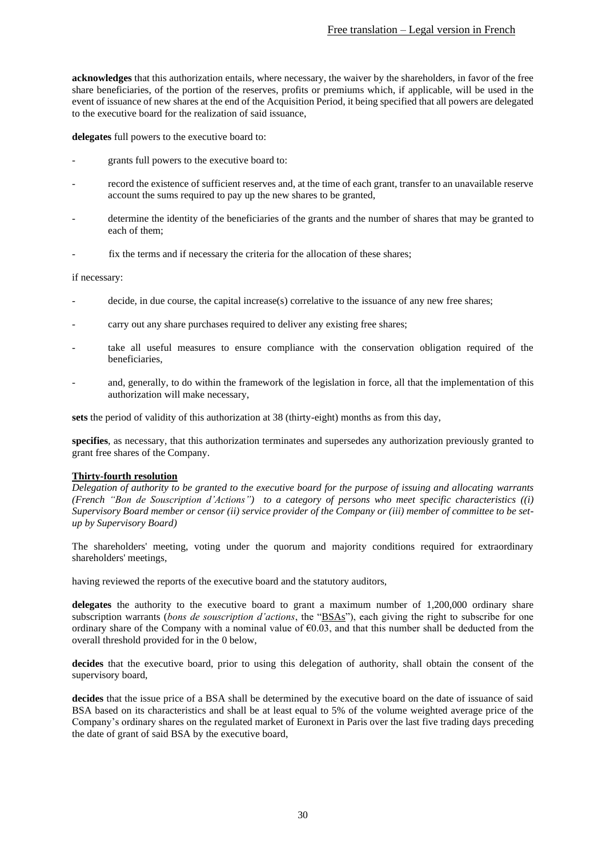**acknowledges** that this authorization entails, where necessary, the waiver by the shareholders, in favor of the free share beneficiaries, of the portion of the reserves, profits or premiums which, if applicable, will be used in the event of issuance of new shares at the end of the Acquisition Period, it being specified that all powers are delegated to the executive board for the realization of said issuance,

**delegates** full powers to the executive board to:

- grants full powers to the executive board to:
- record the existence of sufficient reserves and, at the time of each grant, transfer to an unavailable reserve account the sums required to pay up the new shares to be granted,
- determine the identity of the beneficiaries of the grants and the number of shares that may be granted to each of them;
- fix the terms and if necessary the criteria for the allocation of these shares;

### if necessary:

- decide, in due course, the capital increase(s) correlative to the issuance of any new free shares;
- carry out any share purchases required to deliver any existing free shares;
- take all useful measures to ensure compliance with the conservation obligation required of the beneficiaries,
- and, generally, to do within the framework of the legislation in force, all that the implementation of this authorization will make necessary,

**sets** the period of validity of this authorization at 38 (thirty-eight) months as from this day,

**specifies**, as necessary, that this authorization terminates and supersedes any authorization previously granted to grant free shares of the Company.

### <span id="page-29-0"></span>**Thirty-fourth resolution**

*Delegation of authority to be granted to the executive board for the purpose of issuing and allocating warrants (French "Bon de Souscription d'Actions") to a category of persons who meet specific characteristics ((i) Supervisory Board member or censor (ii) service provider of the Company or (iii) member of committee to be setup by Supervisory Board)*

The shareholders' meeting, voting under the quorum and majority conditions required for extraordinary shareholders' meetings,

having reviewed the reports of the executive board and the statutory auditors,

**delegates** the authority to the executive board to grant a maximum number of 1,200,000 ordinary share subscription warrants (*bons de souscription d'actions*, the "BSAs"), each giving the right to subscribe for one ordinary share of the Company with a nominal value of  $\epsilon$ 0.03, and that this number shall be deducted from the overall threshold provided for in the [0](#page-31-0) below,

**decides** that the executive board, prior to using this delegation of authority, shall obtain the consent of the supervisory board,

**decides** that the issue price of a BSA shall be determined by the executive board on the date of issuance of said BSA based on its characteristics and shall be at least equal to 5% of the volume weighted average price of the Company's ordinary shares on the regulated market of Euronext in Paris over the last five trading days preceding the date of grant of said BSA by the executive board,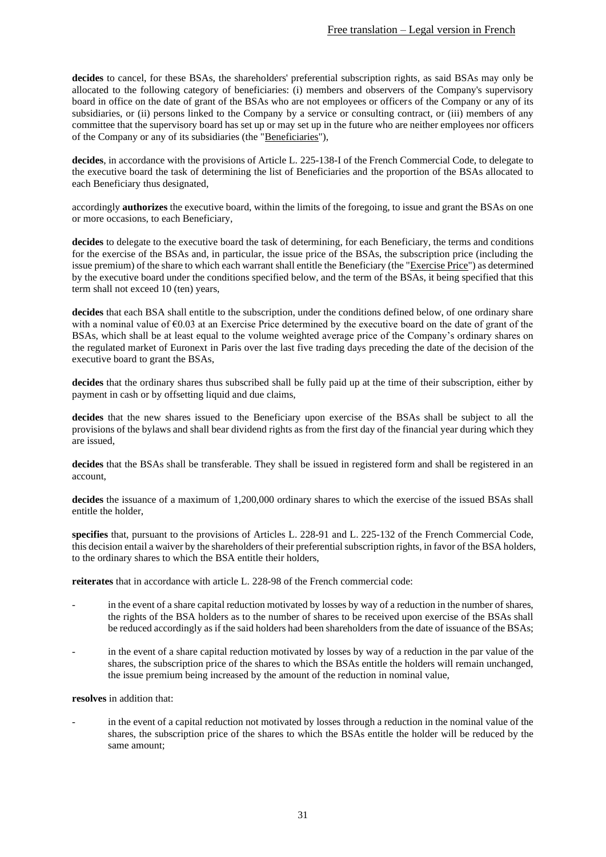**decides** to cancel, for these BSAs, the shareholders' preferential subscription rights, as said BSAs may only be allocated to the following category of beneficiaries: (i) members and observers of the Company's supervisory board in office on the date of grant of the BSAs who are not employees or officers of the Company or any of its subsidiaries, or (ii) persons linked to the Company by a service or consulting contract, or (iii) members of any committee that the supervisory board has set up or may set up in the future who are neither employees nor officers of the Company or any of its subsidiaries (the "Beneficiaries"),

**decides**, in accordance with the provisions of Article L. 225-138-I of the French Commercial Code, to delegate to the executive board the task of determining the list of Beneficiaries and the proportion of the BSAs allocated to each Beneficiary thus designated,

accordingly **authorizes** the executive board, within the limits of the foregoing, to issue and grant the BSAs on one or more occasions, to each Beneficiary,

**decides** to delegate to the executive board the task of determining, for each Beneficiary, the terms and conditions for the exercise of the BSAs and, in particular, the issue price of the BSAs, the subscription price (including the issue premium) of the share to which each warrant shall entitle the Beneficiary (the "Exercise Price") as determined by the executive board under the conditions specified below, and the term of the BSAs, it being specified that this term shall not exceed 10 (ten) years,

**decides** that each BSA shall entitle to the subscription, under the conditions defined below, of one ordinary share with a nominal value of  $\epsilon$ 0.03 at an Exercise Price determined by the executive board on the date of grant of the BSAs, which shall be at least equal to the volume weighted average price of the Company's ordinary shares on the regulated market of Euronext in Paris over the last five trading days preceding the date of the decision of the executive board to grant the BSAs,

**decides** that the ordinary shares thus subscribed shall be fully paid up at the time of their subscription, either by payment in cash or by offsetting liquid and due claims,

**decides** that the new shares issued to the Beneficiary upon exercise of the BSAs shall be subject to all the provisions of the bylaws and shall bear dividend rights as from the first day of the financial year during which they are issued,

**decides** that the BSAs shall be transferable. They shall be issued in registered form and shall be registered in an account,

**decides** the issuance of a maximum of 1,200,000 ordinary shares to which the exercise of the issued BSAs shall entitle the holder,

**specifies** that, pursuant to the provisions of Articles L. 228-91 and L. 225-132 of the French Commercial Code, this decision entail a waiver by the shareholders of their preferential subscription rights, in favor of the BSA holders, to the ordinary shares to which the BSA entitle their holders,

**reiterates** that in accordance with article L. 228-98 of the French commercial code:

- in the event of a share capital reduction motivated by losses by way of a reduction in the number of shares, the rights of the BSA holders as to the number of shares to be received upon exercise of the BSAs shall be reduced accordingly as if the said holders had been shareholders from the date of issuance of the BSAs;
- in the event of a share capital reduction motivated by losses by way of a reduction in the par value of the shares, the subscription price of the shares to which the BSAs entitle the holders will remain unchanged, the issue premium being increased by the amount of the reduction in nominal value,

### **resolves** in addition that:

in the event of a capital reduction not motivated by losses through a reduction in the nominal value of the shares, the subscription price of the shares to which the BSAs entitle the holder will be reduced by the same amount;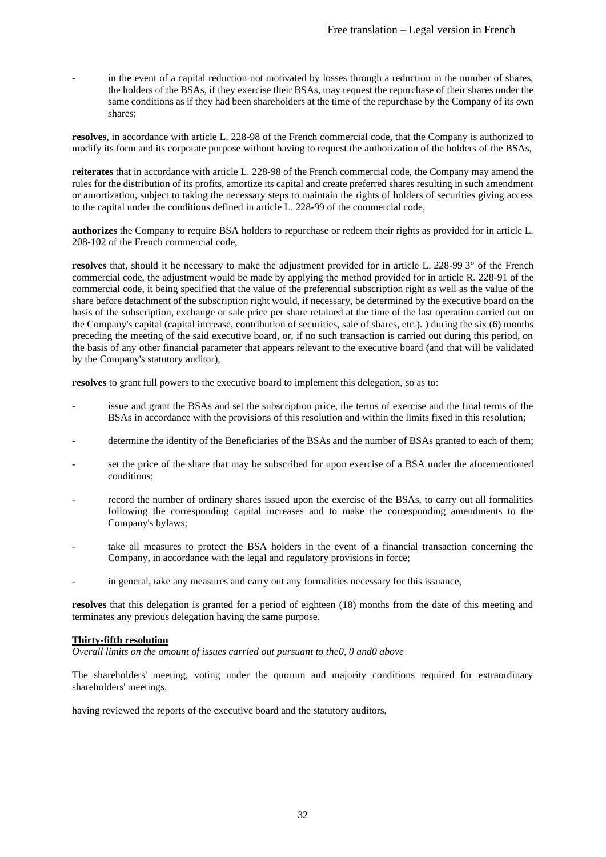in the event of a capital reduction not motivated by losses through a reduction in the number of shares, the holders of the BSAs, if they exercise their BSAs, may request the repurchase of their shares under the same conditions as if they had been shareholders at the time of the repurchase by the Company of its own shares;

**resolves**, in accordance with article L. 228-98 of the French commercial code, that the Company is authorized to modify its form and its corporate purpose without having to request the authorization of the holders of the BSAs,

**reiterates** that in accordance with article L. 228-98 of the French commercial code, the Company may amend the rules for the distribution of its profits, amortize its capital and create preferred shares resulting in such amendment or amortization, subject to taking the necessary steps to maintain the rights of holders of securities giving access to the capital under the conditions defined in article L. 228-99 of the commercial code,

**authorizes** the Company to require BSA holders to repurchase or redeem their rights as provided for in article L. 208-102 of the French commercial code,

**resolves** that, should it be necessary to make the adjustment provided for in article L. 228-99 3° of the French commercial code, the adjustment would be made by applying the method provided for in article R. 228-91 of the commercial code, it being specified that the value of the preferential subscription right as well as the value of the share before detachment of the subscription right would, if necessary, be determined by the executive board on the basis of the subscription, exchange or sale price per share retained at the time of the last operation carried out on the Company's capital (capital increase, contribution of securities, sale of shares, etc.). ) during the six (6) months preceding the meeting of the said executive board, or, if no such transaction is carried out during this period, on the basis of any other financial parameter that appears relevant to the executive board (and that will be validated by the Company's statutory auditor),

**resolves** to grant full powers to the executive board to implement this delegation, so as to:

- issue and grant the BSAs and set the subscription price, the terms of exercise and the final terms of the BSAs in accordance with the provisions of this resolution and within the limits fixed in this resolution;
- determine the identity of the Beneficiaries of the BSAs and the number of BSAs granted to each of them;
- set the price of the share that may be subscribed for upon exercise of a BSA under the aforementioned conditions;
- record the number of ordinary shares issued upon the exercise of the BSAs, to carry out all formalities following the corresponding capital increases and to make the corresponding amendments to the Company's bylaws;
- take all measures to protect the BSA holders in the event of a financial transaction concerning the Company, in accordance with the legal and regulatory provisions in force;
- in general, take any measures and carry out any formalities necessary for this issuance,

**resolves** that this delegation is granted for a period of eighteen (18) months from the date of this meeting and terminates any previous delegation having the same purpose.

### <span id="page-31-0"></span>**Thirty-fifth resolution**

*Overall limits on the amount of issues carried out pursuant to th[e0,](#page-26-0) [0](#page-28-0) an[d0](#page-29-0) above*

The shareholders' meeting, voting under the quorum and majority conditions required for extraordinary shareholders' meetings,

having reviewed the reports of the executive board and the statutory auditors,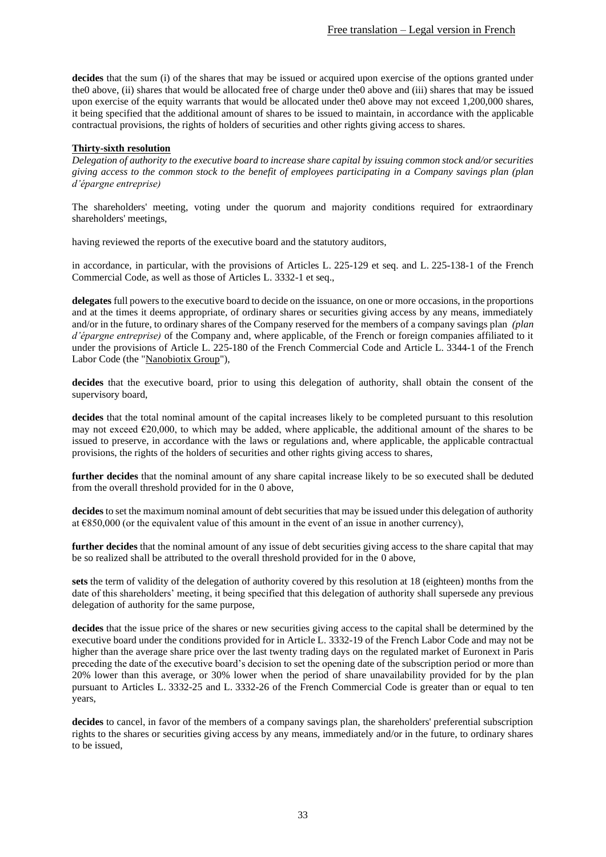**decides** that the sum (i) of the shares that may be issued or acquired upon exercise of the options granted under th[e0](#page-26-0) above, (ii) shares that would be allocated free of charge under th[e0](#page-28-0) above and (iii) shares that may be issued upon exercise of the equity warrants that would be allocated under th[e0](#page-29-0) above may not exceed 1,200,000 shares, it being specified that the additional amount of shares to be issued to maintain, in accordance with the applicable contractual provisions, the rights of holders of securities and other rights giving access to shares.

### <span id="page-32-0"></span>**Thirty-sixth resolution**

*Delegation of authority to the executive board to increase share capital by issuing common stock and/or securities giving access to the common stock to the benefit of employees participating in a Company savings plan (plan d'épargne entreprise)* 

The shareholders' meeting, voting under the quorum and majority conditions required for extraordinary shareholders' meetings,

having reviewed the reports of the executive board and the statutory auditors,

in accordance, in particular, with the provisions of Articles L. 225-129 et seq. and L. 225-138-1 of the French Commercial Code, as well as those of Articles L. 3332-1 et seq.,

**delegates** full powers to the executive board to decide on the issuance, on one or more occasions, in the proportions and at the times it deems appropriate, of ordinary shares or securities giving access by any means, immediately and/or in the future, to ordinary shares of the Company reserved for the members of a company savings plan *(plan d'épargne entreprise)* of the Company and, where applicable, of the French or foreign companies affiliated to it under the provisions of Article L. 225-180 of the French Commercial Code and Article L. 3344-1 of the French Labor Code (the "Nanobiotix Group"),

**decides** that the executive board, prior to using this delegation of authority, shall obtain the consent of the supervisory board,

**decides** that the total nominal amount of the capital increases likely to be completed pursuant to this resolution may not exceed  $\epsilon$ 20,000, to which may be added, where applicable, the additional amount of the shares to be issued to preserve, in accordance with the laws or regulations and, where applicable, the applicable contractual provisions, the rights of the holders of securities and other rights giving access to shares,

**further decides** that the nominal amount of any share capital increase likely to be so executed shall be deduted from the overall threshold provided for in the [0](#page-25-0) above,

**decides** to set the maximum nominal amount of debt securities that may be issued under this delegation of authority at €850,000 (or the equivalent value of this amount in the event of an issue in another currency),

**further decides** that the nominal amount of any issue of debt securities giving access to the share capital that may be so realized shall be attributed to the overall threshold provided for in the [0](#page-25-0) above,

**sets** the term of validity of the delegation of authority covered by this resolution at 18 (eighteen) months from the date of this shareholders' meeting, it being specified that this delegation of authority shall supersede any previous delegation of authority for the same purpose,

**decides** that the issue price of the shares or new securities giving access to the capital shall be determined by the executive board under the conditions provided for in Article L. 3332-19 of the French Labor Code and may not be higher than the average share price over the last twenty trading days on the regulated market of Euronext in Paris preceding the date of the executive board's decision to set the opening date of the subscription period or more than 20% lower than this average, or 30% lower when the period of share unavailability provided for by the plan pursuant to Articles L. 3332-25 and L. 3332-26 of the French Commercial Code is greater than or equal to ten years,

**decides** to cancel, in favor of the members of a company savings plan, the shareholders' preferential subscription rights to the shares or securities giving access by any means, immediately and/or in the future, to ordinary shares to be issued,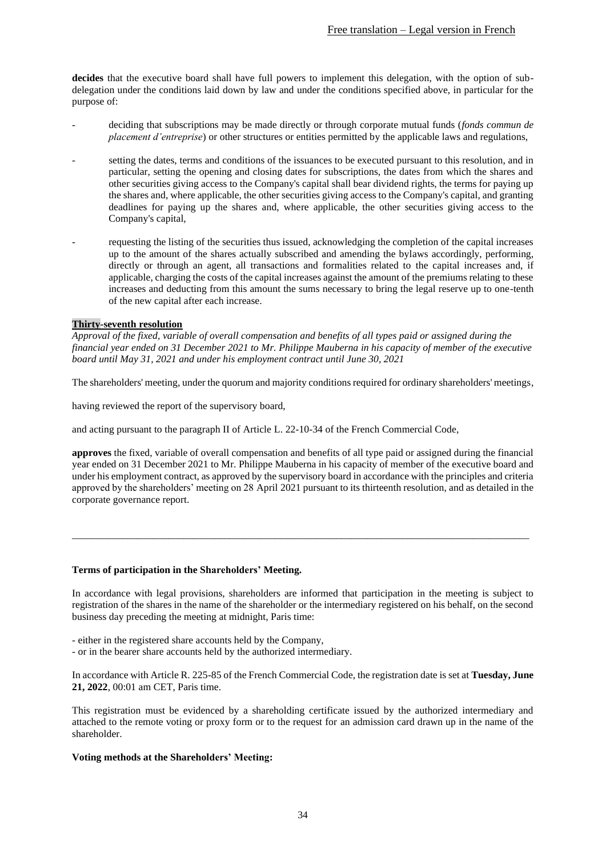**decides** that the executive board shall have full powers to implement this delegation, with the option of subdelegation under the conditions laid down by law and under the conditions specified above, in particular for the purpose of:

- deciding that subscriptions may be made directly or through corporate mutual funds (*fonds commun de placement d'entreprise*) or other structures or entities permitted by the applicable laws and regulations,
- setting the dates, terms and conditions of the issuances to be executed pursuant to this resolution, and in particular, setting the opening and closing dates for subscriptions, the dates from which the shares and other securities giving access to the Company's capital shall bear dividend rights, the terms for paying up the shares and, where applicable, the other securities giving access to the Company's capital, and granting deadlines for paying up the shares and, where applicable, the other securities giving access to the Company's capital,
- requesting the listing of the securities thus issued, acknowledging the completion of the capital increases up to the amount of the shares actually subscribed and amending the bylaws accordingly, performing, directly or through an agent, all transactions and formalities related to the capital increases and, if applicable, charging the costs of the capital increases against the amount of the premiums relating to these increases and deducting from this amount the sums necessary to bring the legal reserve up to one-tenth of the new capital after each increase.

### **Thirty-seventh resolution**

*Approval of the fixed, variable of overall compensation and benefits of all types paid or assigned during the financial year ended on 31 December 2021 to Mr. Philippe Mauberna in his capacity of member of the executive board until May 31, 2021 and under his employment contract until June 30, 2021*

The shareholders' meeting, under the quorum and majority conditions required for ordinary shareholders' meetings,

having reviewed the report of the supervisory board,

and acting pursuant to the paragraph II of Article L. 22-10-34 of the French Commercial Code,

**approves** the fixed, variable of overall compensation and benefits of all type paid or assigned during the financial year ended on 31 December 2021 to Mr. Philippe Mauberna in his capacity of member of the executive board and under his employment contract, as approved by the supervisory board in accordance with the principles and criteria approved by the shareholders' meeting on 28 April 2021 pursuant to its thirteenth resolution, and as detailed in the corporate governance report.

\_\_\_\_\_\_\_\_\_\_\_\_\_\_\_\_\_\_\_\_\_\_\_\_\_\_\_\_\_\_\_\_\_\_\_\_\_\_\_\_\_\_\_\_\_\_\_\_\_\_\_\_\_\_\_\_\_\_\_\_\_\_\_\_\_\_\_\_\_\_\_\_\_\_\_\_\_\_\_\_\_\_\_\_\_\_\_\_\_\_

#### **Terms of participation in the Shareholders' Meeting.**

In accordance with legal provisions, shareholders are informed that participation in the meeting is subject to registration of the shares in the name of the shareholder or the intermediary registered on his behalf, on the second business day preceding the meeting at midnight, Paris time:

- either in the registered share accounts held by the Company,
- or in the bearer share accounts held by the authorized intermediary.

In accordance with Article R. 225-85 of the French Commercial Code, the registration date is set at **Tuesday, June 21, 2022**, 00:01 am CET, Paris time.

This registration must be evidenced by a shareholding certificate issued by the authorized intermediary and attached to the remote voting or proxy form or to the request for an admission card drawn up in the name of the shareholder.

#### **Voting methods at the Shareholders' Meeting:**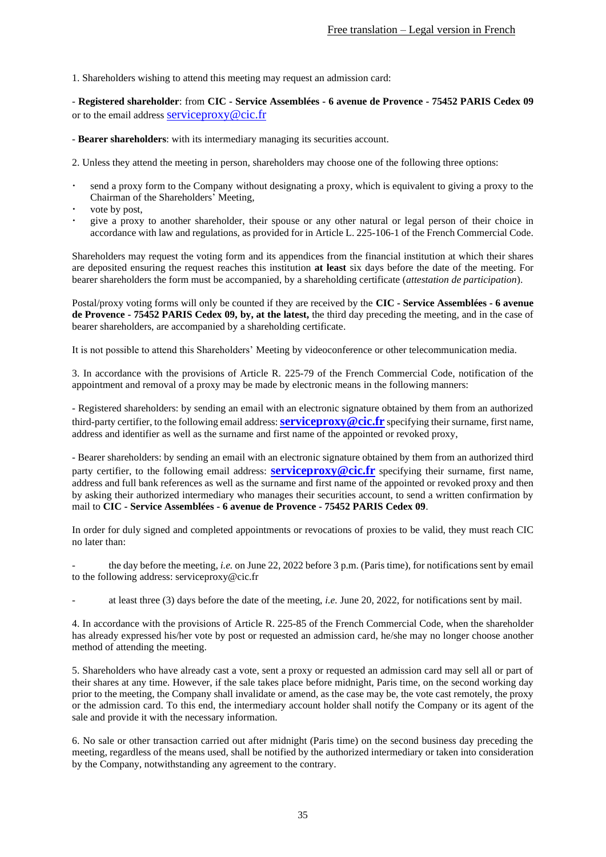1. Shareholders wishing to attend this meeting may request an admission card:

- **Registered shareholder**: from **CIC - Service Assemblées - 6 avenue de Provence - 75452 PARIS Cedex 09** or to the email address serviceproxy@cic.fr

- **Bearer shareholders**: with its intermediary managing its securities account.

2. Unless they attend the meeting in person, shareholders may choose one of the following three options:

- send a proxy form to the Company without designating a proxy, which is equivalent to giving a proxy to the Chairman of the Shareholders' Meeting,
- vote by post,
- give a proxy to another shareholder, their spouse or any other natural or legal person of their choice in accordance with law and regulations, as provided for in Article L. 225-106-1 of the French Commercial Code.

Shareholders may request the voting form and its appendices from the financial institution at which their shares are deposited ensuring the request reaches this institution **at least** six days before the date of the meeting. For bearer shareholders the form must be accompanied, by a shareholding certificate (*attestation de participation*).

Postal/proxy voting forms will only be counted if they are received by the **CIC - Service Assemblées - 6 avenue de Provence - 75452 PARIS Cedex 09, by, at the latest,** the third day preceding the meeting, and in the case of bearer shareholders, are accompanied by a shareholding certificate.

It is not possible to attend this Shareholders' Meeting by videoconference or other telecommunication media.

3. In accordance with the provisions of Article R. 225-79 of the French Commercial Code, notification of the appointment and removal of a proxy may be made by electronic means in the following manners:

- Registered shareholders: by sending an email with an electronic signature obtained by them from an authorized third-party certifier, to the following email address:**serviceproxy@cic.fr** specifying their surname, first name, address and identifier as well as the surname and first name of the appointed or revoked proxy,

- Bearer shareholders: by sending an email with an electronic signature obtained by them from an authorized third party certifier, to the following email address: **serviceproxy@cic.fr** specifying their surname, first name, address and full bank references as well as the surname and first name of the appointed or revoked proxy and then by asking their authorized intermediary who manages their securities account, to send a written confirmation by mail to **CIC - Service Assemblées - 6 avenue de Provence - 75452 PARIS Cedex 09**.

In order for duly signed and completed appointments or revocations of proxies to be valid, they must reach CIC no later than:

the day before the meeting, *i.e.* on June 22, 2022 before 3 p.m. (Paris time), for notifications sent by email to the following address: serviceproxy@cic.fr

at least three (3) days before the date of the meeting, *i.e.* June 20, 2022, for notifications sent by mail.

4. In accordance with the provisions of Article R. 225-85 of the French Commercial Code, when the shareholder has already expressed his/her vote by post or requested an admission card, he/she may no longer choose another method of attending the meeting.

5. Shareholders who have already cast a vote, sent a proxy or requested an admission card may sell all or part of their shares at any time. However, if the sale takes place before midnight, Paris time, on the second working day prior to the meeting, the Company shall invalidate or amend, as the case may be, the vote cast remotely, the proxy or the admission card. To this end, the intermediary account holder shall notify the Company or its agent of the sale and provide it with the necessary information.

6. No sale or other transaction carried out after midnight (Paris time) on the second business day preceding the meeting, regardless of the means used, shall be notified by the authorized intermediary or taken into consideration by the Company, notwithstanding any agreement to the contrary.